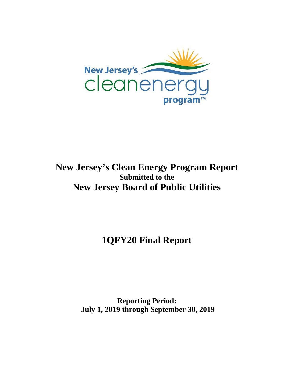

# **New Jersey's Clean Energy Program Report Submitted to the New Jersey Board of Public Utilities**

**1QFY20 Final Report**

**Reporting Period: July 1, 2019 through September 30, 2019**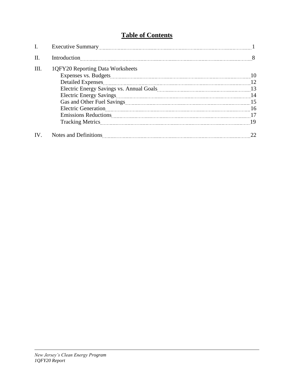## **Table of Contents**

| I.   |                                  |           |
|------|----------------------------------|-----------|
| II.  | Introduction                     | $\sim$ 8  |
| III. | 1QFY20 Reporting Data Worksheets |           |
|      |                                  | 10        |
|      | <b>Detailed Expenses</b>         |           |
|      |                                  |           |
|      |                                  |           |
|      |                                  |           |
|      |                                  | <b>16</b> |
|      |                                  |           |
|      |                                  |           |
| IV.  |                                  |           |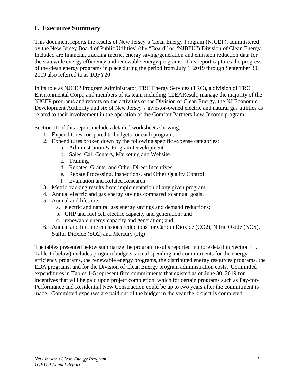## **I. Executive Summary**

This document reports the results of New Jersey's Clean Energy Program (NJCEP), administered by the New Jersey Board of Public Utilities' (the "Board" or "NJBPU") Division of Clean Energy. Included are financial, tracking metric, energy saving/generation and emission reduction data for the statewide energy efficiency and renewable energy programs. This report captures the progress of the clean energy programs in place during the period from July 1, 2019 through September 30, 2019 also referred to as 1QFY20.

In its role as NJCEP Program Administrator, TRC Energy Services (TRC), a division of TRC Environmental Corp., and members of its team including CLEAResult, manage the majority of the NJCEP programs and reports on the activities of the Division of Clean Energy, the NJ Economic Development Authority and six of New Jersey's investor-owned electric and natural gas utilities as related to their involvement in the operation of the Comfort Partners Low-Income program.

Section III of this report includes detailed worksheets showing:

- 1. Expenditures compared to budgets for each program;
- 2. Expenditures broken down by the following specific expense categories:
	- a. Administration & Program Development
	- b. Sales, Call Centers, Marketing and Website
	- c. Training
	- d. Rebates, Grants, and Other Direct Incentives
	- e. Rebate Processing, Inspections, and Other Quality Control
	- f. Evaluation and Related Research
- 3. Metric tracking results from implementation of any given program.
- 4. Annual electric and gas energy savings compared to annual goals.
- 5. Annual and lifetime:
	- a. electric and natural gas energy savings and demand reductions;
	- b. CHP and fuel cell electric capacity and generation; and
	- c. renewable energy capacity and generation; and
- 6. Annual and lifetime emissions reductions for Carbon Dioxide (CO2), Nitric Oxide (NOx), Sulfur Dioxide (SO2) and Mercury (Hg)

The tables presented below summarize the program results reported in more detail in Section III. Table 1 (below) includes program budgets, actual spending and commitments for the energy efficiency programs, the renewable energy programs, the distributed energy resources programs, the EDA programs, and for the Division of Clean Energy program administration costs. Committed expenditures in Tables 1-5 represent firm commitments that existed as of June 30, 2019 for incentives that will be paid upon project completion, which for certain programs such as Pay-for-Performance and Residential New Construction could be up to two years after the commitment is made. Committed expenses are paid out of the budget in the year the project is completed.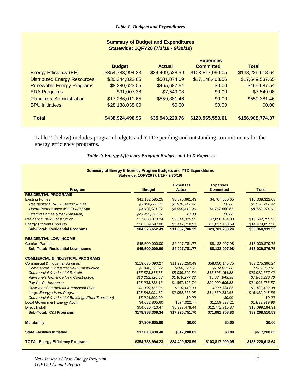| <b>Summary of Budget and Expenditures</b><br>Statewide: 1QFY20 (7/1/19 - 9/30/19) |                  |                 |                  |                  |  |  |  |
|-----------------------------------------------------------------------------------|------------------|-----------------|------------------|------------------|--|--|--|
| <b>Expenses</b>                                                                   |                  |                 |                  |                  |  |  |  |
|                                                                                   | <b>Budget</b>    | <b>Actual</b>   | <b>Committed</b> | <b>Total</b>     |  |  |  |
| Energy Efficiency (EE)                                                            | \$354,783,994.23 | \$34,409,528.59 | \$103,817,090.05 | \$138,226,618.64 |  |  |  |
| <b>Distributed Energy Resources</b>                                               | \$30,344,822.65  | \$501,074.09    | \$17,148,463.56  | \$17,649,537.65  |  |  |  |
| <b>Renewable Energy Programs</b>                                                  | \$8,280,623.05   | \$465,687.54    | \$0.00           | \$465,687.54     |  |  |  |
| <b>EDA Programs</b>                                                               | \$91,007.38      | \$7,549.08      | \$0.00           | \$7,549.08       |  |  |  |
| <b>Planning &amp; Administration</b>                                              | \$17,286,011.65  | \$559,381.46    | \$0.00           | \$559,381.46     |  |  |  |
| <b>BPU Initiatives</b>                                                            | \$28,138,038.00  | \$0.00          | \$0.00           | \$0.00           |  |  |  |
| <b>Total</b>                                                                      | \$438,924,496.96 | \$35,943,220.76 | \$120,965,553.61 | \$156,908,774.37 |  |  |  |

Table 2 (below) includes program budgets and YTD spending and outstanding commitments for the energy efficiency programs.

| Summary of Energy Efficiency Program Budgets and YTD Expenditures<br>Statewide: 1QFY20 (7/1/19 - 9/30/19) |                  |                                  |                                     |                  |  |  |
|-----------------------------------------------------------------------------------------------------------|------------------|----------------------------------|-------------------------------------|------------------|--|--|
| Program                                                                                                   | <b>Budget</b>    | <b>Expenses</b><br><b>Actual</b> | <b>Expenses</b><br><b>Committed</b> | <b>Total</b>     |  |  |
| <b>RESIDENTIAL PROGRAMS</b>                                                                               |                  |                                  |                                     |                  |  |  |
| <b>Existing Homes</b>                                                                                     | \$41,182,585.25  | \$5,570,661.43                   | \$4,767,660.65                      | \$10,338,322.08  |  |  |
| Residential HVAC - Electric & Gas                                                                         | \$6,088,006.06   | \$1,570,247.47                   | \$0.00                              | \$1,570,247.47   |  |  |
| Home Performance with Energy Star                                                                         | \$9,608,981.82   | \$4,000,413.96                   | \$4,767,660.65                      | \$8,768,074.61   |  |  |
| <b>Existing Homes (Post Transition)</b>                                                                   | \$25,485,597.37  | \$0.00                           | \$0.00                              |                  |  |  |
| <b>Residential New Construction</b>                                                                       | \$17,053,370.24  | \$2,644,325.95                   | \$7,898,434.00                      | \$10,542,759.95  |  |  |
| <b>Energy Efficient Products</b>                                                                          | \$26,339,697.00  | \$3,442,718.91                   | \$11,037,138.59                     | \$14,479,857.50  |  |  |
| <b>Sub-Total: Residential Programs</b>                                                                    | \$84,575,652.49  | \$11,657,706.29                  | \$23,703,233.24                     | \$35,360,939.53  |  |  |
| <b>RESIDENTIAL LOW INCOME</b>                                                                             |                  |                                  |                                     |                  |  |  |
| <b>Comfort Partners</b>                                                                                   | \$45,500,000.00  | \$4,907,781.77                   | \$8,132,097.98                      | \$13,039,879.75  |  |  |
| <b>Sub-Total: Residential Low Income</b>                                                                  | \$45,500,000.00  | \$4,907,781.77                   | \$8,132,097.98                      | \$13,039,879.75  |  |  |
| <b>COMMERCIAL &amp; INDUSTRIAL PROGRAMS</b>                                                               |                  |                                  |                                     |                  |  |  |
| <b>Commercial &amp; Industrial Buildings</b>                                                              | \$119,675,090.27 | \$11,225,250.49                  | \$58,050,145.75                     | \$69,275,396.24  |  |  |
| <b>Commercial &amp; Industrial New Construction</b>                                                       | \$1,948,795.92   | \$206,528.61                     | \$702,825.00                        | \$909,353.61     |  |  |
| <b>Commercial &amp; Industrial Retrofit</b>                                                               | \$35,873,877.33  | \$5,039,502.54                   | \$15,893,154.88                     | \$20,932,657.42  |  |  |
| Pay-for-Performance New Construction                                                                      | \$16,252,926.58  | \$1,879,277.32                   | \$6,084,943.38                      | \$7,964,220.70   |  |  |
| Pay-for-Performance                                                                                       | \$28,933,738.16  | \$1,897,126.74                   | \$20,009,606.83                     | \$21,906,733.57  |  |  |
| <b>Customer Commercial &amp; Industrial Pilot</b>                                                         | \$1,909,157.96   | \$110,148.33                     | \$999,334.05                        | \$1,109,482.38   |  |  |
| <b>Large Energy Users Program</b>                                                                         | \$28,842,094.32  | \$2,092,666.95                   | \$14,360,281.61                     | \$16,452,948.56  |  |  |
| <b>Commercial &amp; Industrial Buildings (Post Transition)</b>                                            | \$5,914,500.00   | \$0.00                           | \$0.00                              | \$0.00           |  |  |
| <b>Local Government Energy Audit</b>                                                                      | \$4,682,805.60   | \$674,022.77                     | \$1,159,897.21                      | \$1,833,919.98   |  |  |
| <b>Direct Install</b>                                                                                     | \$54,630,410.47  | \$5,327,478.44                   | \$12,771,715.87                     | \$18,099,194.31  |  |  |
| <b>Sub-Total: C&amp;I Programs</b>                                                                        | \$178,988,306.34 | \$17,226,751.70                  | \$71,981,758.83                     | \$89,208,510.53  |  |  |
| <b>Multifamily</b>                                                                                        | \$7,909,605.00   | \$0.00                           | \$0.00                              | \$0.00           |  |  |
| <b>State Facilities Initiative</b>                                                                        | \$37,810,430.40  | \$617,288.83                     | \$0.00                              | \$617,288.83     |  |  |
| <b>TOTAL Energy Efficiency Programs</b>                                                                   | \$354,783,994.23 | \$34,409,528.59                  | \$103,817,090.05                    | \$138,226,618.64 |  |  |

*Table 2: Energy Efficiency Program Budgets and YTD Expenses*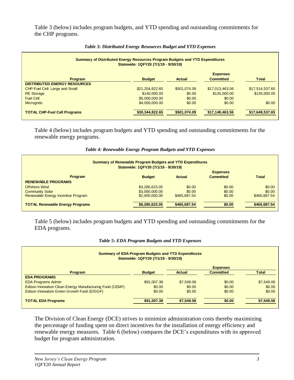Table 3 (below) includes program budgets, and YTD spending and outstanding commitments for the CHP programs.

| Summary of Distributed Energy Resources Program Budgets and YTD Expenditures<br>Statewide: 1QFY20 (7/1/19 - 9/30/19) |                                |                  |                                     |                 |  |  |  |
|----------------------------------------------------------------------------------------------------------------------|--------------------------------|------------------|-------------------------------------|-----------------|--|--|--|
| <b>Program</b><br><b>DISTRIBUTED ENERGY RESOURCES</b>                                                                | <b>Budget</b>                  | Actual           | <b>Expenses</b><br><b>Committed</b> | <b>Total</b>    |  |  |  |
| <b>CHP-Fuel Cell: Large and Small</b>                                                                                | \$21.204.822.65                | \$501.074.09     | \$17,013,463.56                     | \$17.514.537.65 |  |  |  |
| <b>RE</b> Storage<br><b>Fuel Cell</b>                                                                                | \$140,000,00<br>\$5,000,000.00 | \$0.00<br>\$0.00 | \$135,000.00<br>\$0.00              | \$135,000.00    |  |  |  |
| <b>Microgrids</b>                                                                                                    | \$4,000,000,00                 | \$0.00           | \$0.00                              | \$0.00          |  |  |  |
| <b>TOTAL CHP-Fuel Cell Programs</b>                                                                                  | \$30,344,822.65                | \$501,074.09     | \$17,148,463.56                     | \$17,649,537.65 |  |  |  |

#### *Table 3: Distributed Energy Resources Budget and YTD Expenses*

Table 4 (below) includes program budgets and YTD spending and outstanding commitments for the renewable energy programs.

#### *Table 4: Renewable Energy Program Budgets and YTD Expenses*

| <b>Summary of Renewable Program Budgets and YTD Expenditures</b> |                |               |                  |              |  |  |  |  |
|------------------------------------------------------------------|----------------|---------------|------------------|--------------|--|--|--|--|
| Statewide: 1QFY20 (7/1/19 - 9/30/19)                             |                |               |                  |              |  |  |  |  |
| <b>Expenses</b>                                                  |                |               |                  |              |  |  |  |  |
| <b>Program</b>                                                   | <b>Budget</b>  | <b>Actual</b> | <b>Committed</b> | <b>Total</b> |  |  |  |  |
| <b>RENEWABLE PROGRAMS</b>                                        |                |               |                  |              |  |  |  |  |
| <b>Offshore Wind</b>                                             | \$3,280,623.05 | \$0.00        | \$0.00           | \$0.00       |  |  |  |  |
| <b>Community Solar</b>                                           | \$3,000,000.00 | \$0.00        | \$0.00           | \$0.00       |  |  |  |  |
| Renewable Energy Incentive Program                               | \$2,000,000.00 | \$465,687,54  | \$0.00           | \$465,687.54 |  |  |  |  |
| <b>TOTAL Renewable Energy Programs</b>                           | \$8,280,623.05 | \$465,687.54  | \$0.00           | \$465,687.54 |  |  |  |  |

Table 5 (below) includes program budgets and YTD spending and outstanding commitments for the EDA programs.

| <b>Summary of EDA Program Budgets and YTD Expenditures</b><br>Statewide: 1QFY20 (7/1/19 - 9/30/19) |               |               |                  |            |  |  |
|----------------------------------------------------------------------------------------------------|---------------|---------------|------------------|------------|--|--|
|                                                                                                    |               |               | <b>Expenses</b>  |            |  |  |
| <b>Program</b>                                                                                     | <b>Budget</b> | <b>Actual</b> | <b>Committed</b> | Total      |  |  |
| <b>EDA PROGRAMS</b>                                                                                |               |               |                  |            |  |  |
| <b>EDA Programs Admin</b>                                                                          | \$91,007.38   | \$7,549.08    | \$0.00           | \$7,549.08 |  |  |
| Edison Innovation Clean Energy Manufacturing Fund (CEMF)                                           | \$0.00        | \$0.00        | \$0.00           | \$0.00     |  |  |
| Edison Innovation Green Growth Fund (EIGGF)                                                        | \$0.00        | \$0.00        | \$0.00           | \$0.00     |  |  |
| <b>TOTAL EDA Programs</b>                                                                          | \$91,007.38   | \$7,549.08    | \$0.00           | \$7,549.08 |  |  |

#### *Table 5: EDA Program Budgets and YTD Expenses*

The Division of Clean Energy (DCE) strives to minimize administration costs thereby maximizing the percentage of funding spent on direct incentives for the installation of energy efficiency and renewable energy measures. Table 6 (below) compares the DCE's expenditures with its approved budget for program administration.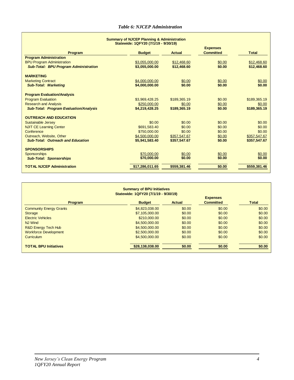| <b>Summary of NJCEP Planning &amp; Administration</b><br>Statewide: 1QFY20 (7/1/19 - 9/30/19) |                 |              |        |              |  |  |  |  |  |
|-----------------------------------------------------------------------------------------------|-----------------|--------------|--------|--------------|--|--|--|--|--|
| <b>Expenses</b><br><b>Actual</b><br><b>Committed</b><br>Program<br><b>Budget</b>              |                 |              |        |              |  |  |  |  |  |
| <b>Program Administration</b>                                                                 |                 |              |        |              |  |  |  |  |  |
| <b>BPU Program Administration</b>                                                             | \$3,055,000.00  | \$12,468.60  | \$0.00 | \$12,468.60  |  |  |  |  |  |
| <b>Sub-Total: BPU Program Administration</b>                                                  | \$3,055,000.00  | \$12,468.60  | \$0.00 | \$12,468.60  |  |  |  |  |  |
| <b>MARKETING</b>                                                                              |                 |              |        |              |  |  |  |  |  |
| <b>Marketing Contract</b>                                                                     | \$4,000,000.00  | \$0.00       | \$0.00 | \$0.00       |  |  |  |  |  |
| <b>Sub-Total: Marketing</b>                                                                   | \$4,000,000.00  | \$0.00       | \$0.00 | \$0.00       |  |  |  |  |  |
| <b>Program Evaluation/Analysis</b>                                                            |                 |              |        |              |  |  |  |  |  |
| <b>Program Evaluation</b>                                                                     | \$3,969,428.25  | \$189,365.19 | \$0.00 | \$189,365.19 |  |  |  |  |  |
| <b>Research and Analysis</b>                                                                  | \$250,000.00    | \$0.00       | \$0.00 | \$0.00       |  |  |  |  |  |
| <b>Sub-Total: Program Evaluation/Analysis</b>                                                 | \$4,219,428.25  | \$189,365.19 | \$0.00 | \$189,365.19 |  |  |  |  |  |
| <b>OUTREACH AND EDUCATION</b>                                                                 |                 |              |        |              |  |  |  |  |  |
| <b>Sustainable Jersey</b>                                                                     | \$0.00          | \$0.00       | \$0.00 | \$0.00       |  |  |  |  |  |
| <b>NJIT CE Learning Center</b>                                                                | \$691,583.40    | \$0.00       | \$0.00 | \$0.00       |  |  |  |  |  |
| Conference                                                                                    | \$750,000.00    | \$0.00       | \$0.00 | \$0.00       |  |  |  |  |  |
| Outreach. Website. Other                                                                      | \$4,500,000.00  | \$357,547.67 | \$0.00 | \$357,547.67 |  |  |  |  |  |
| <b>Sub-Total: Outreach and Education</b>                                                      | \$5,941,583.40  | \$357,547.67 | \$0.00 | \$357,547.67 |  |  |  |  |  |
| <b>SPONSORSHIPS</b>                                                                           |                 |              |        |              |  |  |  |  |  |
| <b>Sponsorships</b>                                                                           | \$70,000.00     | \$0.00       | \$0.00 | \$0.00       |  |  |  |  |  |
| <b>Sub-Total: Sponsorships</b>                                                                | \$70,000.00     | \$0.00       | \$0.00 | \$0.00       |  |  |  |  |  |
| <b>TOTAL NJCEP Administration</b>                                                             | \$17,286,011.65 | \$559,381.46 | \$0.00 | \$559,381.46 |  |  |  |  |  |

| <b>Summary of BPU Initiatives</b><br>Statewide: 1QFY20 (7/1/19 - 9/30/19)                        |                 |        |        |        |  |  |  |
|--------------------------------------------------------------------------------------------------|-----------------|--------|--------|--------|--|--|--|
| <b>Expenses</b><br><b>Budget</b><br><b>Committed</b><br><b>Actual</b><br><b>Total</b><br>Program |                 |        |        |        |  |  |  |
| <b>Community Energy Grants</b>                                                                   | \$4,823,038.00  | \$0.00 | \$0.00 | \$0.00 |  |  |  |
| <b>Storage</b>                                                                                   | \$7,105,000.00  | \$0.00 | \$0.00 | \$0.00 |  |  |  |
| <b>Electric Vehicles</b>                                                                         | \$210,000.00    | \$0.00 | \$0.00 | \$0.00 |  |  |  |
| <b>NJ Wind</b>                                                                                   | \$4,500,000.00  | \$0.00 | \$0.00 | \$0.00 |  |  |  |
| <b>R&amp;D Energy Tech Hub</b>                                                                   | \$4,500,000,00  | \$0.00 | \$0.00 | \$0.00 |  |  |  |
| <b>Workforce Development</b>                                                                     | \$2,500,000.00  | \$0.00 | \$0.00 | \$0.00 |  |  |  |
| <b>Curriculum</b>                                                                                | \$4,500,000.00  | \$0.00 | \$0.00 | \$0.00 |  |  |  |
| <b>TOTAL BPU Initiatives</b>                                                                     | \$28,138,038.00 | \$0.00 | \$0.00 | \$0.00 |  |  |  |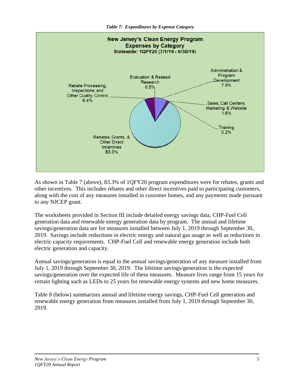

As shown in Table 7 (above), 83.3% of 1QFY20 program expenditures were for rebates, grants and other incentives. This includes rebates and other direct incentives paid to participating customers, along with the cost of any measures installed in customer homes, and any payments made pursuant to any NJCEP grant.

The worksheets provided in Section III include detailed energy savings data, CHP-Fuel Cell generation data and renewable energy generation data by program. The annual and lifetime savings/generation data are for measures installed between July 1, 2019 through September 30, 2019. Savings include reductions in electric energy and natural gas usage as well as reductions in electric capacity requirements. CHP-Fuel Cell and renewable energy generation include both electric generation and capacity.

Annual savings/generation is equal to the annual savings/generation of any measure installed from July 1, 2019 through September 30, 2019. The lifetime savings/generation is the expected savings/generation over the expected life of these measures. Measure lives range from 15 years for certain lighting such as LEDs to 25 years for renewable energy systems and new home measures.

Table 8 (below) summarizes annual and lifetime energy savings, CHP-Fuel Cell generation and renewable energy generation from measures installed from July 1, 2019 through September 30, 2019.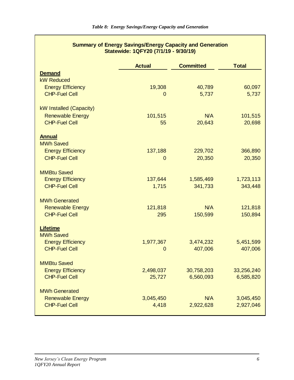| Summary of Energy Savings/Energy Capacity and Generation<br>Statewide: 1QFY20 (7/1/19 - 9/30/19) |                |                  |              |  |  |  |  |  |
|--------------------------------------------------------------------------------------------------|----------------|------------------|--------------|--|--|--|--|--|
|                                                                                                  | <b>Actual</b>  | <b>Committed</b> | <b>Total</b> |  |  |  |  |  |
| <b>Demand</b>                                                                                    |                |                  |              |  |  |  |  |  |
| <b>kW Reduced</b>                                                                                |                |                  |              |  |  |  |  |  |
| <b>Energy Efficiency</b>                                                                         | 19,308         | 40,789           | 60,097       |  |  |  |  |  |
| <b>CHP-Fuel Cell</b>                                                                             | $\overline{0}$ | 5,737            | 5,737        |  |  |  |  |  |
| kW Installed (Capacity)                                                                          |                |                  |              |  |  |  |  |  |
| <b>Renewable Energy</b>                                                                          | 101,515        | N/A              | 101,515      |  |  |  |  |  |
| <b>CHP-Fuel Cell</b>                                                                             | 55             | 20,643           | 20,698       |  |  |  |  |  |
| <b>Annual</b>                                                                                    |                |                  |              |  |  |  |  |  |
| <b>MWh Saved</b>                                                                                 |                |                  |              |  |  |  |  |  |
| <b>Energy Efficiency</b>                                                                         | 137,188        | 229,702          | 366,890      |  |  |  |  |  |
| <b>CHP-Fuel Cell</b>                                                                             | $\mathbf 0$    | 20,350           | 20,350       |  |  |  |  |  |
| <b>MMBtu Saved</b>                                                                               |                |                  |              |  |  |  |  |  |
| <b>Energy Efficiency</b>                                                                         | 137,644        | 1,585,469        | 1,723,113    |  |  |  |  |  |
| <b>CHP-Fuel Cell</b>                                                                             | 1,715          | 341,733          | 343,448      |  |  |  |  |  |
| <b>MWh Generated</b>                                                                             |                |                  |              |  |  |  |  |  |
| <b>Renewable Energy</b>                                                                          | 121,818        | N/A              | 121,818      |  |  |  |  |  |
| <b>CHP-Fuel Cell</b>                                                                             | 295            | 150,599          | 150,894      |  |  |  |  |  |
| <b>Lifetime</b>                                                                                  |                |                  |              |  |  |  |  |  |
| <b>MWh Saved</b><br><b>Energy Efficiency</b>                                                     | 1,977,367      | 3,474,232        | 5,451,599    |  |  |  |  |  |
| <b>CHP-Fuel Cell</b>                                                                             | $\mathbf 0$    | 407,006          | 407,006      |  |  |  |  |  |
|                                                                                                  |                |                  |              |  |  |  |  |  |
| <b>MMBtu Saved</b>                                                                               |                |                  |              |  |  |  |  |  |
| <b>Energy Efficiency</b>                                                                         | 2,498,037      | 30,758,203       | 33,256,240   |  |  |  |  |  |
| <b>CHP-Fuel Cell</b>                                                                             | 25,727         | 6,560,093        | 6,585,820    |  |  |  |  |  |
| <b>MWh Generated</b>                                                                             |                |                  |              |  |  |  |  |  |
| <b>Renewable Energy</b>                                                                          | 3,045,450      | <b>N/A</b>       | 3,045,450    |  |  |  |  |  |
| <b>CHP-Fuel Cell</b>                                                                             | 4,418          | 2,922,628        | 2,927,046    |  |  |  |  |  |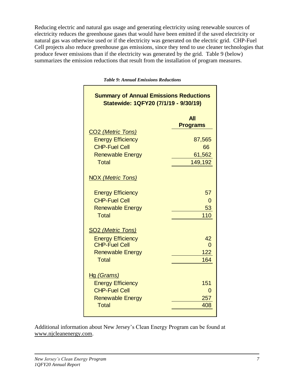Reducing electric and natural gas usage and generating electricity using renewable sources of electricity reduces the greenhouse gases that would have been emitted if the saved electricity or natural gas was otherwise used or if the electricity was generated on the electric grid. CHP-Fuel Cell projects also reduce greenhouse gas emissions, since they tend to use cleaner technologies that produce fewer emissions than if the electricity was generated by the grid. Table 9 (below) summarizes the emission reductions that result from the installation of program measures.

| <b>Summary of Annual Emissions Reductions</b><br>Statewide: 1QFY20 (7/1/19 - 9/30/19) |                               |
|---------------------------------------------------------------------------------------|-------------------------------|
|                                                                                       | <b>All</b><br><b>Programs</b> |
| <b>CO2 (Metric Tons)</b>                                                              |                               |
| <b>Energy Efficiency</b>                                                              | 87,565                        |
| <b>CHP-Fuel Cell</b>                                                                  | 66                            |
| <b>Renewable Energy</b>                                                               | 61,562                        |
| <b>Total</b>                                                                          | 149,192                       |
| <b>NOX (Metric Tons)</b>                                                              |                               |
| <b>Energy Efficiency</b>                                                              | 57                            |
| <b>CHP-Fuel Cell</b>                                                                  | 0                             |
| <b>Renewable Energy</b>                                                               | 53                            |
| <b>Total</b>                                                                          | 110                           |
| SO <sub>2</sub> (Metric Tons)                                                         |                               |
| <b>Energy Efficiency</b>                                                              | 42                            |
| <b>CHP-Fuel Cell</b>                                                                  | 0                             |
| <b>Renewable Energy</b>                                                               | 122                           |
| <b>Total</b>                                                                          | 164                           |
| <u>Hg (Grams)</u>                                                                     |                               |
| <b>Energy Efficiency</b>                                                              | 151                           |
| <b>CHP-Fuel Cell</b>                                                                  | 0                             |
| <b>Renewable Energy</b>                                                               | 257                           |
| <b>Total</b>                                                                          | 408                           |
|                                                                                       |                               |

*Table 9: Annual Emissions Reductions*

Additional information about New Jersey's Clean Energy Program can be found at [www.njcleanenergy.com.](http://www.njcleanenergy.com/)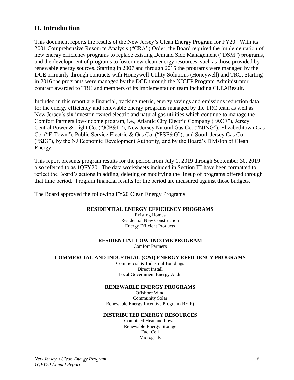## **II. Introduction**

This document reports the results of the New Jersey's Clean Energy Program for FY20. With its 2001 Comprehensive Resource Analysis ("CRA") Order, the Board required the implementation of new energy efficiency programs to replace existing Demand Side Management ("DSM") programs, and the development of programs to foster new clean energy resources, such as those provided by renewable energy sources. Starting in 2007 and through 2015 the programs were managed by the DCE primarily through contracts with Honeywell Utility Solutions (Honeywell) and TRC. Starting in 2016 the programs were managed by the DCE through the NJCEP Program Administrator contract awarded to TRC and members of its implementation team including CLEAResult.

Included in this report are financial, tracking metric, energy savings and emissions reduction data for the energy efficiency and renewable energy programs managed by the TRC team as well as New Jersey's six investor-owned electric and natural gas utilities which continue to manage the Comfort Partners low-income program, i.e., Atlantic City Electric Company ("ACE"), Jersey Central Power & Light Co. ("JCP&L"), New Jersey Natural Gas Co. ("NJNG"), Elizabethtown Gas Co. ("E-Town"), Public Service Electric & Gas Co. ("PSE&G"), and South Jersey Gas Co. ("SJG"), by the NJ Economic Development Authority, and by the Board's Division of Clean Energy.

This report presents program results for the period from July 1, 2019 through September 30, 2019 also referred to as 1QFY20. The data worksheets included in Section III have been formatted to reflect the Board's actions in adding, deleting or modifying the lineup of programs offered through that time period. Program financial results for the period are measured against those budgets.

The Board approved the following FY20 Clean Energy Programs:

### **RESIDENTIAL ENERGY EFFICIENCY PROGRAMS**

Existing Homes Residential New Construction Energy Efficient Products

### **RESIDENTIAL LOW-INCOME PROGRAM**

Comfort Partners

### **COMMERCIAL AND INDUSTRIAL (C&I) ENERGY EFFICIENCY PROGRAMS**

Commercial & Industrial Buildings Direct Install Local Government Energy Audit

### **RENEWABLE ENERGY PROGRAMS**

Offshore Wind Community Solar Renewable Energy Incentive Program (REIP)

### **DISTRIBUTED ENERGY RESOURCES**

Combined Heat and Power Renewable Energy Storage Fuel Cell Microgrids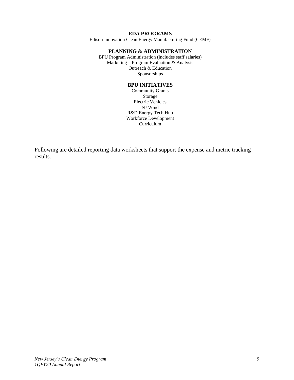### **EDA PROGRAMS**

Edison Innovation Clean Energy Manufacturing Fund (CEMF)

### **PLANNING & ADMINISTRATION**

BPU Program Administration (includes staff salaries) Marketing – Program Evaluation & Analysis Outreach & Education Sponsorships

#### **BPU INITIATIVES**

Community Grants Storage Electric Vehicles NJ Wind R&D Energy Tech Hub Workforce Development Curriculum

Following are detailed reporting data worksheets that support the expense and metric tracking results.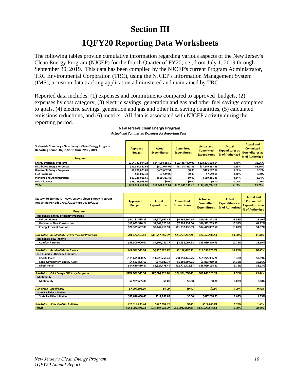# **Section III**

## **1QFY20 Reporting Data Worksheets**

The following tables provide cumulative information regarding various aspects of the New Jersey's Clean Energy Program (NJCEP) for the fourth Quarter of FY20, i.e., from July 1, 2019 through September 30, 2019. This data has been compiled by the NJCEP's current Program Administrator, TRC Environmental Corporation (TRC), using the NJCEP's Information Management System (IMS), a custom data tracking application administered and maintained by TRC.

Reported data includes: (1) expenses and commitments compared to approved budgets, (2) expenses by cost category, (3) electric savings, generation and gas and other fuel savings compared to goals, (4) electric savings, generation and gas and other fuel saving quantities, (5) calculated emissions reductions, and (6) metrics. All data is associated with NJCEP activity during the reporting period.

| Statewide Summary - New Jersey's Clean Energy Program<br>Reporting Period: 07/01/2019 thru 09/30/2019<br>Program | Approved<br><b>Budget</b> | Actual<br><b>Expenditures</b> | <b>Committed</b><br><b>Expenditures</b> | <b>Actual and</b><br><b>Committed</b><br><b>Expenditures</b> | <b>Actual</b><br><b>Expenditures as</b><br>% of Authorized | <b>Actual and</b><br>Committed<br><b>Expenditures as</b><br>% of Authorized |
|------------------------------------------------------------------------------------------------------------------|---------------------------|-------------------------------|-----------------------------------------|--------------------------------------------------------------|------------------------------------------------------------|-----------------------------------------------------------------------------|
| <b>Energy Efficiency Programs</b>                                                                                | \$354,783,994.23          | \$34,409,528.59               | \$103,817,090.05                        | \$138,226,618.64                                             | 9.70%                                                      | 38.96%                                                                      |
| <b>Distributed Energy Resources</b>                                                                              | \$30,344,822.65           | \$501,074.09                  | \$17,148,463.56                         | \$17,649,537.65                                              | 1.65%                                                      | 58.16%                                                                      |
| <b>Renewable Energy Programs</b>                                                                                 | \$8,280,623.05            | \$465,687.54                  | \$0.00                                  | \$465,687.54                                                 | 5.62%                                                      | 5.62%                                                                       |
| <b>EDA Programs</b>                                                                                              | \$91.007.38               | \$7.549.08                    | \$0.00                                  | \$7,549.08                                                   | 8.30%                                                      | 8.30%                                                                       |
| <b>Planning and Administration</b>                                                                               | \$17,286,011.65           | \$559,381.46                  | \$0.00                                  | \$559,381.46                                                 | 3.24%                                                      | 3.24%                                                                       |
| <b>BPU Initiatives</b>                                                                                           | \$28,138,038.00           | \$0.00l                       | \$0.00                                  | \$0.00                                                       | 0.00%                                                      | 0.00%                                                                       |
| <b>TOTAL</b>                                                                                                     | \$438,924,496.96          | \$35,943,220.76               | \$120,965,553.61                        | \$156,908,774.37                                             | 8.19%                                                      | 35.75%                                                                      |

#### **New Jerseys Clean Energy Program** *Actual and Committed Expenses for Reporting Year*

| Statewide Summary - New Jersey's Clean Energy Program<br>Reporting Period: 07/01/2019 thru 09/30/2019<br>Program | <b>Approved</b><br><b>Budget</b> | <b>Actual</b><br><b>Expenditures</b> | <b>Committed</b><br><b>Expenditures</b> | <b>Actual and</b><br><b>Committed</b><br><b>Expenditures</b> | <b>Actual</b><br><b>Expenditures as</b><br>% of Authorized | <b>Actual and</b><br><b>Committed</b><br><b>Expenditures as</b><br>% of Authorized |
|------------------------------------------------------------------------------------------------------------------|----------------------------------|--------------------------------------|-----------------------------------------|--------------------------------------------------------------|------------------------------------------------------------|------------------------------------------------------------------------------------|
| <b>Residential Energy Efficiency Programs</b>                                                                    |                                  |                                      |                                         |                                                              |                                                            |                                                                                    |
| <b>Existing Homes</b>                                                                                            | \$41,182,585.25                  | \$5,570,661.43                       | \$4,767,660.65                          | \$10,338,322.08                                              | 13.53%                                                     | 25.10%                                                                             |
| <b>Residential New Construction</b>                                                                              | \$17,053,370.24                  | \$2,644,325.95                       | \$7,898,434.00                          | \$10,542,759.95                                              | 15.51%                                                     | 61.82%                                                                             |
| <b>Energy Efficient Products</b>                                                                                 | \$26,339,697.00                  | \$3,442,718.91                       | \$11,037,138.59                         | \$14,479,857.50                                              | 13.07%                                                     | 54.97%                                                                             |
|                                                                                                                  |                                  |                                      |                                         |                                                              |                                                            |                                                                                    |
| <b>Sub-Total: Residential Energy Efficiency Programs</b>                                                         | \$84,575,652.49                  | \$11,657,706.29                      | \$23,703,233.24                         | \$35,360,939.53                                              | 13.78%                                                     | 41.81%                                                                             |
| <b>Residential Low Income</b>                                                                                    |                                  |                                      |                                         |                                                              |                                                            |                                                                                    |
| <b>Comfort Partners</b>                                                                                          | \$45,500,000.00                  | \$4,907,781.77                       | \$8,132,097.98                          | \$13,039,879.75                                              | 10.79%                                                     | 28.66%                                                                             |
|                                                                                                                  |                                  |                                      |                                         |                                                              |                                                            |                                                                                    |
| <b>Residential Low Income</b><br>Sub-Total:                                                                      | \$45,500,000.00                  | \$4,907,781.77                       | \$8,132,097.98                          | \$13,039,879.75                                              | 10.79%                                                     | 28.66%                                                                             |
| <b>C &amp; I Energy Efficiency Programs</b>                                                                      |                                  |                                      |                                         |                                                              |                                                            |                                                                                    |
| <b>C&amp;I Buildings</b>                                                                                         | \$119,675,090.27                 | \$11,225,250.49                      | \$58,050,145.75                         | \$69,275,396.24                                              | 9.38%                                                      | 57.89%                                                                             |
| <b>Local Government Energy Audit</b>                                                                             | \$4,682,805.60                   | \$674,022.77                         | \$1,159,897.21                          | \$1,833,919.98                                               | 14.39%                                                     | 39.16%                                                                             |
| <b>Direct Install</b>                                                                                            | \$54,630,410.47                  | \$5,327,478.44                       | \$12,771,715.87                         | \$18,099,194.31                                              | 9.75%                                                      | 33.13%                                                                             |
|                                                                                                                  |                                  |                                      |                                         |                                                              |                                                            |                                                                                    |
| <b>Sub-Total: C &amp; I Energy Efficiency Programs</b>                                                           | \$178,988,306.34                 | \$17,226,751.70                      | \$71,981,758.83                         | \$89,208,510.53                                              | 9.62%                                                      | 49.84%                                                                             |
| <b>Multifamily</b>                                                                                               |                                  |                                      |                                         |                                                              |                                                            |                                                                                    |
| Multifamily                                                                                                      | \$7,909,605.00                   | \$0.00                               | \$0.00                                  | \$0.00                                                       | 0.00%                                                      | 0.00%                                                                              |
|                                                                                                                  |                                  |                                      |                                         |                                                              |                                                            |                                                                                    |
| <b>Sub-Total: Multifamily</b>                                                                                    | \$7,909,605.00                   | \$0.00                               | \$0.00                                  | \$0.00                                                       | 0.00%                                                      | 0.00%                                                                              |
| <b>State Facilities Initiative</b>                                                                               |                                  |                                      |                                         |                                                              |                                                            |                                                                                    |
| <b>State Facilities Initiative</b>                                                                               | \$37,810,430.40                  | \$617,288.83                         | \$0.00                                  | \$617,288.83                                                 | 1.63%                                                      | 1.63%                                                                              |
|                                                                                                                  |                                  |                                      |                                         |                                                              |                                                            |                                                                                    |
| <b>State Facilities Initiative</b><br><b>Sub-Total:</b>                                                          | \$37,810,430.40                  | \$617,288.83                         | \$0.00                                  | \$617,288.83                                                 | 1.63%                                                      | 1.63%                                                                              |
| <b>TOTAL</b>                                                                                                     | \$354,783,994.23                 | \$34,409,528.59                      | \$103,817,090.05                        | \$138,226,618.64                                             | 9.70%                                                      | 38.96%                                                                             |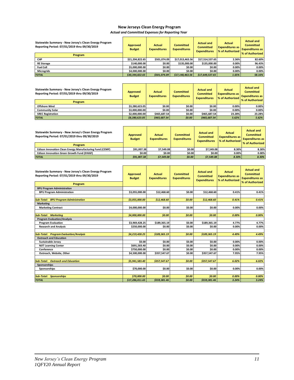#### **New Jerseys Clean Energy Program**

*Actual and Committed Expenses for Reporting Year* 

| Statewide Summary - New Jersey's Clean Energy Program<br>Reporting Period: 07/01/2019 thru 09/30/2019<br>Program | <b>Approved</b><br><b>Budget</b> | Actual<br><b>Expenditures</b> | <b>Committed</b><br><b>Expenditures</b> | <b>Actual and</b><br><b>Committed</b><br><b>Expenditures</b> | Actual<br><b>Expenditures as</b><br>% of Authorized | <b>Actual and</b><br><b>Committed</b><br><b>Expenditures as</b><br>% of Authorized |
|------------------------------------------------------------------------------------------------------------------|----------------------------------|-------------------------------|-----------------------------------------|--------------------------------------------------------------|-----------------------------------------------------|------------------------------------------------------------------------------------|
| <b>CHP</b>                                                                                                       | \$21.204.822.65                  | \$501.074.09                  | \$17.013.463.56                         | \$17.514.537.65                                              | 2.36%                                               | 82.60%                                                                             |
| <b>RE Storage</b>                                                                                                | \$140.000.00                     | \$0.00                        | \$135,000.00                            | \$135,000.00                                                 | 0.00%                                               | 96.43%                                                                             |
| <b>Fuel Cell</b>                                                                                                 | \$5.000.000.00                   | \$0.00                        | \$0.00                                  | \$0.00                                                       | 0.00%                                               | 0.00%                                                                              |
| <b>Microgrids</b>                                                                                                | \$4,000,000,00                   | \$0.00                        | \$0.00                                  | \$0.00                                                       | 0.00%                                               | 0.00%                                                                              |
| <b>TOTAL</b>                                                                                                     | \$30,344,822.65                  | \$501,074.09                  | \$17,148,463.56                         | \$17,649,537.65                                              | 1.65%                                               | 58.16%                                                                             |

| Statewide Summary - New Jersey's Clean Energy Program<br>Reporting Period: 07/01/2019 thru 09/30/2019 | <b>Approved</b><br><b>Budget</b> | Actual<br><b>Expenditures</b> | <b>Committed</b><br><b>Expenditures</b> | <b>Actual and</b><br><b>Committed</b><br><b>Expenditures</b> | Actual<br><b>Expenditures as</b><br>∣ % of Authorized ∣ | <b>Actual and</b><br><b>Committed</b><br><b>Expenditures as</b><br>% of Authorized |
|-------------------------------------------------------------------------------------------------------|----------------------------------|-------------------------------|-----------------------------------------|--------------------------------------------------------------|---------------------------------------------------------|------------------------------------------------------------------------------------|
| Program                                                                                               |                                  |                               |                                         |                                                              |                                                         |                                                                                    |
| <b>Offshore Wind</b>                                                                                  | \$3.280.623.05                   | \$0.00                        | \$0.00                                  | \$0.00                                                       | 0.00%                                                   | 0.00%                                                                              |
| <b>Community Solar</b>                                                                                | \$3.000.000.00                   | \$0.00                        | \$0.00                                  | \$0.00                                                       | 0.00%                                                   | 0.00%                                                                              |
| <b>SREC Registration</b>                                                                              | \$2,000,000,00                   | \$465.687.54                  | \$0.00                                  | \$465.687.54                                                 | 23.28%                                                  | 23.28%                                                                             |
| <b>TOTAL</b>                                                                                          | \$8.280.623.05                   | \$465.687.54                  | \$0.00                                  | \$465.687.54                                                 | 5.62%                                                   | 5.62%                                                                              |

| Statewide Summary - New Jersey's Clean Energy Program<br>Reporting Period: 07/01/2019 thru 09/30/2019 | <b>Approved</b><br><b>Budget</b> | <b>Actual</b><br><b>Expenditures</b> | <b>Committed</b><br><b>Expenditures</b> | <b>Actual and</b><br><b>Committed</b><br><b>Expenditures</b> | <b>Actual</b><br><b>Expenditures as</b><br><b>S</b> of Authorized | <b>Actual and</b><br><b>Committed</b><br><b>Expenditures as</b><br>% of Authorized |
|-------------------------------------------------------------------------------------------------------|----------------------------------|--------------------------------------|-----------------------------------------|--------------------------------------------------------------|-------------------------------------------------------------------|------------------------------------------------------------------------------------|
| <b>Program</b>                                                                                        |                                  |                                      |                                         |                                                              |                                                                   |                                                                                    |
| Edison Innovation Clean Energy Manufacturing Fund (CEMF)                                              | \$91.007.38                      | \$7.549.08                           | \$0.00                                  | \$7.549.08                                                   | 8.30%                                                             | 8.30%                                                                              |
| <b>Edison Innovation Green Growth Fund (EIGGF)</b>                                                    | \$0.00                           | \$0.00                               | \$0.00                                  | \$0.00                                                       | 0.00%                                                             | 0.00%                                                                              |
| <b>TOTAL</b>                                                                                          | \$91.007.38                      | \$7.549.08                           | \$0.00                                  | \$7.549.08                                                   | 8.30%                                                             | 8.30%                                                                              |

| Statewide Summary - New Jersey's Clean Energy Program<br>Reporting Period: 07/01/2019 thru 09/30/2019 | <b>Approved</b><br><b>Budget</b> | <b>Actual</b><br><b>Expenditures</b> | <b>Committed</b><br><b>Expenditures</b> | <b>Actual and</b><br><b>Committed</b><br><b>Expenditures</b> | <b>Actual</b><br><b>Expenditures as</b><br>% of Authorized | <b>Actual and</b><br><b>Committed</b><br><b>Expenditures as</b><br>% of Authorized |
|-------------------------------------------------------------------------------------------------------|----------------------------------|--------------------------------------|-----------------------------------------|--------------------------------------------------------------|------------------------------------------------------------|------------------------------------------------------------------------------------|
| Program                                                                                               |                                  |                                      |                                         |                                                              |                                                            |                                                                                    |
| <b>BPU Program Administration</b>                                                                     |                                  |                                      |                                         |                                                              |                                                            |                                                                                    |
| <b>BPU Program Administration</b>                                                                     | \$3,055,000.00                   | \$12,468.60                          | \$0.00                                  | \$12,468.60                                                  | 0.41%                                                      | 0.41%                                                                              |
|                                                                                                       |                                  |                                      |                                         |                                                              |                                                            |                                                                                    |
| <b>Sub-Total: BPU Program Administration</b>                                                          | \$3,055,000.00                   | \$12,468.60                          | \$0.00                                  | \$12,468.60                                                  | 0.41%                                                      | 0.41%                                                                              |
| <b>Marketing</b>                                                                                      |                                  |                                      |                                         |                                                              |                                                            |                                                                                    |
| <b>Marketing Contract</b>                                                                             | \$4,000,000.00                   | \$0.00                               | \$0.00                                  | \$0.00                                                       | 0.00%                                                      | 0.00%                                                                              |
|                                                                                                       |                                  |                                      |                                         |                                                              |                                                            |                                                                                    |
| <b>Sub-Total: Marketing</b>                                                                           | \$4,000,000.00                   | \$0.00                               | \$0.00                                  | \$0.00                                                       | 0.00%                                                      | 0.00%                                                                              |
| <b>Program Evaluation/Analysis</b>                                                                    |                                  |                                      |                                         |                                                              |                                                            |                                                                                    |
| <b>Program Evaluation</b>                                                                             | \$3,969,428.25                   | \$189,365.19                         | \$0.00                                  | \$189,365.19                                                 | 4.77%                                                      | 4.77%                                                                              |
| <b>Research and Analysis</b>                                                                          | \$250,000.00                     | \$0.00                               | \$0.00                                  | \$0.00                                                       | 0.00%                                                      | 0.00%                                                                              |
|                                                                                                       |                                  |                                      |                                         |                                                              |                                                            |                                                                                    |
| <b>Sub-Total: Program Evaluation/Analysis</b>                                                         | \$4,219,428.25                   | \$189,365.19                         | \$0.00                                  | \$189,365.19                                                 | 4.49%                                                      | 4.49%                                                                              |
| <b>Outreach and Education</b>                                                                         |                                  |                                      |                                         |                                                              |                                                            |                                                                                    |
| <b>Sustainable Jersey</b>                                                                             | \$0.00                           | \$0.00                               | \$0.00                                  | \$0.00                                                       | 0.00%                                                      | 0.00%                                                                              |
| <b>NJIT Learning Center</b>                                                                           | \$691,583.40                     | \$0.00                               | \$0.00                                  | \$0.00                                                       | 0.00%                                                      | 0.00%                                                                              |
| Conference                                                                                            | \$750,000.00                     | \$0.00                               | \$0.00                                  | \$0.00                                                       | 0.00%                                                      | 0.00%                                                                              |
| Outreach, Website, Other                                                                              | \$4,500,000.00                   | \$357,547.67                         | \$0.00                                  | \$357,547.67                                                 | 7.95%                                                      | 7.95%                                                                              |
|                                                                                                       |                                  |                                      |                                         |                                                              |                                                            |                                                                                    |
| <b>Sub-Total: Outreach and Education</b>                                                              | \$5,941,583.40                   | \$357.547.67                         | \$0.00                                  | \$357,547.67                                                 | 6.02%                                                      | 6.02%                                                                              |
| Sponsorships                                                                                          |                                  |                                      |                                         |                                                              |                                                            |                                                                                    |
| Sponsorships                                                                                          | \$70,000.00                      | \$0.00                               | \$0.00                                  | \$0.00                                                       | 0.00%                                                      | 0.00%                                                                              |
|                                                                                                       |                                  |                                      |                                         |                                                              |                                                            |                                                                                    |
| <b>Sponsorships</b><br>Sub-Total:                                                                     | \$70,000.00                      | \$0.00                               | \$0.00                                  | \$0.00                                                       | 0.00%                                                      | 0.00%                                                                              |
| <b>TOTAL</b>                                                                                          | \$17,286,011.65                  | \$559,381.46                         | \$0.00                                  | \$559.381.46                                                 | 3.24%                                                      | 3.24%                                                                              |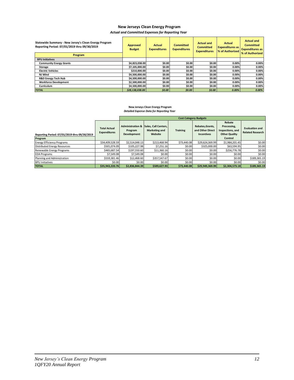#### **New Jerseys Clean Energy Program**

*Actual and Committed Expenses for Reporting Year* 

| Statewide Summary - New Jersey's Clean Energy Program<br>Reporting Period: 07/01/2019 thru 09/30/2019 | Approved<br>Actual<br><b>Budget</b><br><b>Expenditures</b> |        | <b>Committed</b><br><b>Expenditures</b> | <b>Actual and</b><br><b>Committed</b><br><b>Expenditures</b> | Actual<br><b>Expenditures as</b><br>% of Authorized | <b>Actual and</b><br><b>Committed</b><br><b>Expenditures as</b><br>% of Authorized |  |
|-------------------------------------------------------------------------------------------------------|------------------------------------------------------------|--------|-----------------------------------------|--------------------------------------------------------------|-----------------------------------------------------|------------------------------------------------------------------------------------|--|
| Program                                                                                               |                                                            |        |                                         |                                                              |                                                     |                                                                                    |  |
| <b>BPU Initiatives</b>                                                                                |                                                            |        |                                         |                                                              |                                                     |                                                                                    |  |
| <b>Community Energy Grants</b>                                                                        | \$4,823,038.00                                             | \$0.00 | \$0.00                                  | \$0.00                                                       | 0.00%                                               | 0.00%                                                                              |  |
| Storage                                                                                               | \$7,105,000.00                                             | \$0.00 | \$0.00                                  | \$0.00                                                       | 0.00%                                               | 0.00%                                                                              |  |
| <b>Electric Vehicles</b>                                                                              | \$210.000.00                                               | \$0.00 | \$0.00                                  | \$0.00                                                       | 0.00%                                               | 0.00%                                                                              |  |
| NJ Wind                                                                                               | \$4,500,000.00                                             | \$0.00 | \$0.00                                  | \$0.00                                                       | 0.00%                                               | 0.00%                                                                              |  |
| <b>R&amp;D Energy Tech Hub</b>                                                                        | \$4,500,000,00                                             | \$0.00 | \$0.00                                  | \$0.00                                                       | 0.00%                                               | 0.00%                                                                              |  |
| <b>Workforce Development</b>                                                                          | \$2.500.000.00                                             | \$0.00 | \$0.00                                  | \$0.00                                                       | 0.00%                                               | 0.00%                                                                              |  |
| Curriculum                                                                                            | \$4.500.000.00                                             | \$0.00 | \$0.00                                  | \$0.00                                                       | 0.00%                                               | 0.00%                                                                              |  |
| <b>TOTAL</b>                                                                                          | \$28.138.038.00                                            | \$0.00 | \$0.00                                  | \$0.00                                                       | 0.00%                                               | 0.00%                                                                              |  |

#### **New Jerseys Clean Energy Program** *Detailed Expense Data for Reporting Year*

|                                                         |                                            |                                                       |                                                                | <b>Cost Category Budgets</b> |                                                           |                                                                              |                                                  |
|---------------------------------------------------------|--------------------------------------------|-------------------------------------------------------|----------------------------------------------------------------|------------------------------|-----------------------------------------------------------|------------------------------------------------------------------------------|--------------------------------------------------|
| Reporting Period: 07/01/2019 thru 09/30/2019<br>Program | <b>Total Actual</b><br><b>Expenditures</b> | <b>Administration &amp;</b><br>Program<br>Development | <b>Sales. Call Centers.</b><br><b>Marketing and</b><br>Website | <b>Training</b>              | Rebates, Grants,<br>and Other Direct<br><b>Incentives</b> | Rebate<br>Processing,<br>Inspections, and<br><b>Other Quality</b><br>Control | <b>Evaluation and</b><br><b>Related Research</b> |
| <b>Energy Efficiency Programs</b>                       | \$34,409,528.59                            | \$2,514,048.13                                        | \$213.468.94                                                   | \$73,440.08                  | \$29,624,369.99                                           | \$1,984,201.45                                                               | \$0.00                                           |
| Distributed Energy Resources                            | \$501.074.09                               | \$105.227.98                                          | \$7,251.16                                                     | \$0.00                       | \$325,000.00                                              | \$63,594.95                                                                  | \$0.00                                           |
| Renewable Energy Programs                               | \$465,687.54                               | \$197.550.60                                          | \$11,360.16                                                    | \$0.00                       | \$0.00                                                    | \$256,776.78                                                                 | \$0.00                                           |
| <b>EDA Programs</b>                                     | \$7.549.08                                 | \$7.549.08                                            | \$0.00                                                         | \$0.00                       | \$0.00                                                    | \$0.00                                                                       | \$0.00                                           |
| Planning and Administration                             | \$559,381.46                               | \$12,468.60                                           | \$357.547.67                                                   | \$0.00                       | \$0.00                                                    | \$0.00                                                                       | \$189,365.19                                     |
| <b>BPU Initiatives</b>                                  | \$0.00                                     | \$0.00                                                | \$0.00                                                         | \$0.00                       | \$0.00                                                    | \$0.00                                                                       | \$0.00                                           |
| <b>TOTAL</b>                                            | \$35.943.220.76                            | \$2.836.844.39                                        | \$589.627.93                                                   | \$73,440.08                  | \$29.949.369.99                                           | \$2.304.573.18                                                               | \$189,365.19                                     |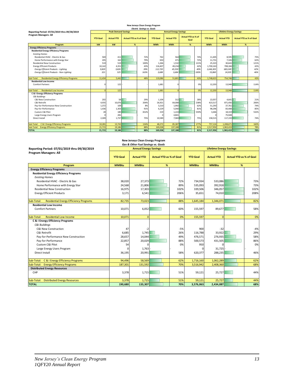|                                                             |                 |                            |                                |                                   | New Jerseys Clean Energy Program |                              |                                   |      |                 |                                |                                |      |
|-------------------------------------------------------------|-----------------|----------------------------|--------------------------------|-----------------------------------|----------------------------------|------------------------------|-----------------------------------|------|-----------------|--------------------------------|--------------------------------|------|
|                                                             |                 |                            |                                | <b>Electric Savings vs. Goals</b> |                                  |                              |                                   |      |                 |                                |                                |      |
| Reporting Period: 07/01/2019 thru 09/30/2019                |                 | <b>Peak Demand Savings</b> |                                |                                   |                                  | <b>Annual Energy Savings</b> |                                   |      |                 | <b>Lifetime Energy Savings</b> |                                |      |
| <b>Program Managers: All</b>                                | <b>YTD Goal</b> | <b>Actual YTD</b>          | <b>Actual YTD as % of Goal</b> |                                   | <b>YTD Goal</b>                  | <b>Actual YTD</b>            | <b>Actual YTD as % of</b><br>Goal |      | <b>YTD Goal</b> | <b>Actual YTD</b>              | <b>Actual YTD as % of Goal</b> |      |
| Program                                                     | kW              | kW                         | %                              |                                   | <b>MWh</b>                       | <b>MWh</b>                   | %                                 |      | <b>MWh</b>      | <b>MWh</b>                     | %                              |      |
| <b>Energy Efficiency Programs</b>                           |                 |                            |                                |                                   |                                  |                              |                                   |      |                 |                                |                                |      |
| <b>Residential Energy Efficiency Programs</b>               |                 |                            |                                |                                   |                                  |                              |                                   |      |                 |                                |                                |      |
| <b>Existing Homes</b>                                       |                 |                            |                                |                                   |                                  |                              |                                   |      |                 |                                |                                |      |
| Residential HVAC - Electric & Gas                           | 569             | 411                        |                                | 72%                               | 762                              | 564                          |                                   | 74%  | 11,405          | 8,595                          |                                | 75%  |
| Home Performance with Energy Star                           | 205             | 162                        |                                | 79%                               | 650                              | 471                          |                                   | 72%  | 11,731          | 7.326                          |                                | 62%  |
| <b>Residential New Construction</b>                         | 519             | 519                        |                                | 100%                              | 1.266                            | 1,532                        |                                   | 121% | 25,323          | 30,643                         |                                | 121% |
| <b>Energy Efficient Products</b>                            | 10,142          | 4,351                      |                                | 43%                               | 116,407                          | 49,234                       |                                   | 42%  | 1,700,163       | 708,184                        |                                | 42%  |
| <b>Energy Efficient Products - Lighting</b>                 | 9,820           | 3.826                      |                                | 39%                               | 112,720                          | 45,550                       |                                   | 40%  | 1,646,303       | 683,249                        |                                | 42%  |
| Energy Efficient Products - Non-Lighting                    | 321             | 525                        |                                | 163%                              | 3,688                            | 3,684                        |                                   | 100% | 53,860          | 24,935                         |                                | 46%  |
|                                                             |                 |                            |                                |                                   |                                  |                              |                                   |      |                 |                                |                                |      |
| <b>Residential Energy Efficiency Programs</b><br>Sub-Total: | 11,434          | 5,442                      |                                | 48%                               | 119,086                          | 51,801                       |                                   | 43%  | 1,748,623       | 754,748                        |                                | 43%  |
| <b>Residential Low Income</b>                               |                 |                            |                                |                                   |                                  |                              |                                   |      |                 |                                |                                |      |
| <b>Comfort Partners</b>                                     |                 | 122                        |                                |                                   | 1,681                            | $\Omega$                     |                                   | 0%   | 12,203          | 13,948                         |                                | 114% |
|                                                             |                 |                            |                                |                                   |                                  |                              |                                   |      |                 |                                |                                |      |
| <b>Residential Low Income</b><br>Sub-Total:                 | $\sqrt{2}$      | 122                        |                                |                                   | 1.681                            | $\Omega$                     |                                   | 0%   | 12,203          | 13,948                         |                                | 114% |
| C & I Energy Efficiency Programs                            |                 |                            |                                |                                   |                                  |                              |                                   |      |                 |                                |                                |      |
| <b>C&amp;I Buildinas</b>                                    |                 |                            |                                |                                   |                                  |                              |                                   |      |                 |                                |                                |      |
| C&I New Construction                                        | 202             | 58                         |                                | 29%                               | 1,104                            | 312                          |                                   | 28%  | 22,057          | 4.641                          |                                | 21%  |
| C&I Retrofit                                                | 4,935           | 10,076                     |                                | 204%                              | 26,921                           | 64,008                       |                                   | 238% | 423,517         | 871,456                        |                                | 206% |
| Pay-for-Performance New Construction                        | 1,372           | 109                        |                                | 8%                                | 3,210                            | 1,992                        |                                   | 62%  | 51,293          | 37,761                         |                                | 74%  |
| Pay-for-Performance                                         | 1,436           | 1,303                      |                                | 91%                               | 6,229                            | 5,040                        |                                   | 81%  | 98,296          | 83,408                         |                                | 85%  |
| Custom C&I Pilot                                            | 28              | 180                        |                                | 652%                              | 219                              | 1,224                        |                                   | 559% | 3,446           | 18,319                         |                                | 532% |
| Large Energy Users Program                                  |                 | 281                        |                                |                                   |                                  | 4,841                        |                                   |      |                 | 75,928                         |                                |      |
| Direct Install                                              | 2,309           | 1,737                      |                                | 75%                               | 10,589                           | 7,969                        |                                   | 75%  | 158,515         | 117,159                        |                                | 74%  |
|                                                             |                 |                            |                                |                                   |                                  |                              |                                   |      |                 |                                |                                |      |
| C & I Energy Efficiency Programs<br>Sub-Total:              | 10.281          | 13,743                     |                                | 134%                              | 48.272                           | 85.387                       |                                   | 177% | 757,124         | 1,208,671                      |                                | 160% |
| <b>Energy Efficiency Programs</b><br>Sub-Total:             | 21,715          | 19,186                     |                                | 88%                               | 169,038                          | 137,188                      |                                   | 81%  | 2,517,950       | 1,963,419                      |                                | 78%  |
| <b>TOTAL</b>                                                | 21.715          | 19.186                     |                                | 88%                               | 169.038                          | 137.188                      |                                   | 81%  | 2,517,950       | 1,963,419                      |                                | 78%  |

|                                                             |                 | New Jerseys Clean Energy Program   |                                |       |                 |                                |                                |       |
|-------------------------------------------------------------|-----------------|------------------------------------|--------------------------------|-------|-----------------|--------------------------------|--------------------------------|-------|
|                                                             |                 | Gas & Other Fuel Savings vs. Goals |                                |       |                 |                                |                                |       |
| Reporting Period: 07/01/2019 thru 09/30/2019                |                 | <b>Annual Energy Savings</b>       |                                |       |                 | <b>Lifetime Energy Savings</b> |                                |       |
| Program Managers: All                                       | <b>YTD Goal</b> | <b>Actual YTD</b>                  | <b>Actual YTD as % of Goal</b> |       | <b>YTD Goal</b> | <b>Actual YTD</b>              | <b>Actual YTD as % of Goal</b> |       |
| Program                                                     | <b>MMBtu</b>    | <b>MMBtu</b>                       | %                              |       | <b>MMBtu</b>    | <b>MMBtu</b>                   | %                              |       |
| <b>Energy Efficiency Programs</b>                           |                 |                                    |                                |       |                 |                                |                                |       |
| <b>Residential Energy Efficiency Programs</b>               |                 |                                    |                                |       |                 |                                |                                |       |
| <b>Existing Homes</b>                                       |                 |                                    |                                |       |                 |                                |                                |       |
| Residential HVAC - Electric & Gas                           | 38,020          | 27,373                             |                                | 72%   | 734,934         | 533,086                        |                                | 73%   |
| Home Performance with Energy Star                           | 24,568          | 21,806                             |                                | 89%   | 535,093         | 392,918                        |                                | 73%   |
| <b>Residential New Construction</b>                         | 16,975          | 17,303                             |                                | 102%  | 339,506         | 346,057                        |                                | 102%  |
| <b>Energy Efficient Products</b>                            | 3,171           | 6,541                              |                                | 206%  | 35,651          | 74,010                         |                                | 208%  |
|                                                             |                 |                                    |                                |       |                 |                                |                                |       |
| <b>Residential Energy Efficiency Programs</b><br>Sub-Total: | 82,735          | 73,023                             |                                | 88%   | 1,645,184       | 1,346,071                      |                                | 82%   |
| <b>Residential Low Income</b>                               |                 |                                    |                                |       |                 |                                |                                |       |
| <b>Comfort Partners</b>                                     | 10,071          | 6,052                              |                                | 60%   | 155,597         | 89,677                         |                                | 58%   |
| Sub-Total:<br><b>Residential Low Income</b>                 | 10,071          | $\Omega$                           |                                | 0%    | 155,597         | $\Omega$                       |                                | 0%    |
| <b>C &amp; I Energy Efficiency Programs</b>                 |                 |                                    |                                |       |                 |                                |                                |       |
| C&I Buildings                                               |                 |                                    |                                |       |                 |                                |                                |       |
| C&I New Construction                                        | 47              | $-2$                               |                                | $-5%$ | 900             | $-32$                          |                                | $-4%$ |
| C&I Retrofit                                                | 6,685           | 1,745                              |                                | 26%   | 116,788         | 33,922                         |                                | 29%   |
| Pay-for-Performance New Construction                        | 28,657          | 14,044                             |                                | 49%   | 476,571         | 276,935                        |                                | 58%   |
| Pay-for-Performance                                         | 22,857          | 20,029                             |                                | 88%   | 500,573         | 431,505                        |                                | 86%   |
| Custom C&I Pilot                                            | 54              | $\Omega$                           |                                | 0%    | 950             |                                |                                | 0%    |
| Large Energy Users Program                                  |                 | 1,763                              |                                |       | $\Omega$        | 31,725                         |                                |       |
| Direct Install                                              | 36,195          | 20,991                             |                                | 58%   | 620,377         | 288,235                        |                                | 46%   |
|                                                             |                 |                                    |                                |       |                 |                                |                                |       |
| Sub-Total: C & I Energy Efficiency Programs                 | 94,496          | 58,569                             |                                | 62%   | 1,716,160       | 1,062,289                      |                                | 62%   |
| Sub-Total: Energy Efficiency Programs                       | 187,301         | 131,592                            |                                | 70%   | 3,516,942       | 2,408,360                      |                                | 68%   |
| <b>Distributed Energy Resources</b>                         |                 |                                    |                                |       |                 |                                |                                |       |
| CHP                                                         | 3,378           | 1,715                              |                                | 51%   | 59,121          | 25,727                         |                                | 44%   |
| <b>Distributed Energy Resources</b><br>Sub-Total:           | 3,378           | 1,715                              |                                | 51%   | 59,121          | 25,727                         |                                | 44%   |
| <b>TOTAL</b>                                                | 190.680         | 133.307                            |                                | 70%   | 3.576.063       | 2,434,087                      |                                | 68%   |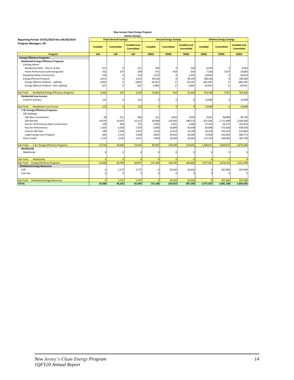|                                                                                                             | New Jerseys Clean Energy Program |                            |                                          |                      |                              |                                          |                                |                      |                                          |  |
|-------------------------------------------------------------------------------------------------------------|----------------------------------|----------------------------|------------------------------------------|----------------------|------------------------------|------------------------------------------|--------------------------------|----------------------|------------------------------------------|--|
| Reporting Period: 07/01/2019 thru 09/30/2019                                                                |                                  | <b>Peak Demand Savings</b> | <b>Electric Savings</b>                  |                      | <b>Annual Energy Savings</b> |                                          | <b>Lifetime Energy Savings</b> |                      |                                          |  |
| Program Managers: All                                                                                       | <b>Installed</b>                 | <b>Committed</b>           | <b>Installed and</b><br><b>Committed</b> | <b>Installed</b>     | <b>Committed</b>             | <b>Installed and</b><br><b>Committed</b> | <b>Installed</b>               | <b>Committed</b>     | <b>Installed and</b><br><b>Committed</b> |  |
| Program                                                                                                     | kW                               | kw                         | kW                                       | <b>MWh</b>           | <b>MWh</b>                   | <b>MWh</b>                               | <b>MWh</b>                     | <b>MWh</b>           | <b>MWh</b>                               |  |
| <b>Energy Efficiency Programs</b><br><b>Residential Energy Efficiency Programs</b><br><b>Existing Homes</b> |                                  |                            |                                          |                      |                              |                                          |                                |                      |                                          |  |
| Residential HVAC - Electric & Gas                                                                           | 411                              | $\mathbf{0}$               | 411                                      | 564                  | n                            | 564                                      | 8,595                          | $\mathbf 0$          | 8,595                                    |  |
| Home Performance with Energy Star                                                                           | 162                              | 107                        | 269                                      | 471                  | 454                          | 924                                      | 7,326                          | 7,557                | 14,883                                   |  |
| <b>Residential New Construction</b>                                                                         | 519                              | $\mathbf 0$                | 519                                      | 1,532                | 0                            | 1,532                                    | 30,643                         | $\mathbf 0$          | 30,643                                   |  |
| <b>Energy Efficient Products</b>                                                                            | 4,351                            | $\Omega$                   | 4,351                                    | 49,234               | $\Omega$                     | 49,234                                   | 708,184                        | $\Omega$             | 708,184                                  |  |
| Energy Efficient Products - Lighting<br>Energy Efficient Products - Non-Lighting                            | 3,826<br>525                     | 0<br>0                     | 3,826<br>525                             | 45,550<br>3,684      | $\epsilon$<br>$\mathcal{L}$  | 45,550<br>3,684                          | 683,249<br>24,935              | $\Omega$<br>$\Omega$ | 683,249<br>24,935                        |  |
| <b>Residential Energy Efficiency Programs</b><br>Sub-Total:                                                 | 5,442                            | 107                        | 5,549                                    | 51,801               | 454                          | 52,254                                   | 754,748                        | 7,557                | 762,305                                  |  |
| <b>Residential Low Income</b>                                                                               |                                  |                            |                                          |                      |                              |                                          |                                |                      |                                          |  |
| <b>Comfort Partners</b>                                                                                     | 122                              | $\mathbf 0$                | 122                                      | $\Omega$             | n                            | $\Omega$                                 | 13.948                         | $\Omega$             | 13,948                                   |  |
| <b>Residential Low Income</b><br>Sub-Total:                                                                 | 122                              | $\mathbf{0}$               | 122                                      | $\mathbf{0}$         | $\Omega$                     | $\Omega$                                 | 13,948                         | $\Omega$             | 13,948                                   |  |
| C & I Energy Efficiency Programs<br><b>C&amp;I Buildings</b>                                                |                                  |                            |                                          |                      |                              |                                          |                                |                      |                                          |  |
| C&I New Construction                                                                                        | 58                               | 611                        | 668                                      | 312                  | 2,643                        | 2,956                                    | 4,641                          | 40,089               | 44,729                                   |  |
| C&I Retrofit                                                                                                | 10,076                           | 22,037                     | 32,112                                   | 64,008               | 116,565                      | 180,572                                  | 871,456                        | 1,711,848            | 2,583,304                                |  |
| Pay-for-Performance New Construction                                                                        | 109                              | 643                        | 753                                      | 1,992                | 3,491                        | 5,484                                    | 37,761                         | 64,153               | 101,914                                  |  |
| Pay-for-Performance                                                                                         | 1,303                            | 6,244                      | 7,547                                    | 5,040                | 35,899                       | 40,938                                   | 83,408                         | 575,628              | 659,036                                  |  |
| Custom C&I Pilot                                                                                            | 180                              | 2,294                      | 2,474                                    | 1,224                | 12,914                       | 14,138                                   | 18,319                         | 192,533              | 210,852                                  |  |
| Large Energy Users Program                                                                                  | 281                              | 5,119                      | 5,400                                    | 4,841                | 39,442                       | 44,284                                   | 75,928                         | 613,843              | 689,771                                  |  |
| Direct Install                                                                                              | 1.737                            | 3,734                      | 5,471                                    | 7,969                | 18,294                       | 26,263                                   | 117,159                        | 268,582              | 385,740                                  |  |
| C & I Energy Efficiency Programs<br>Sub-Total:                                                              | 13,743                           | 40,682                     | 54,425                                   | 85,387               | 229,249                      | 314,635                                  | 1,208,671                      | 3,466,675            | 4,675,346                                |  |
| Multifamily<br>Multifamily                                                                                  | 0                                | $\Omega$                   | $\Omega$                                 | $\Omega$             | $\Omega$                     | $\Omega$                                 | $\Omega$                       | 0                    | $\mathbf 0$                              |  |
| Multifamily<br>Sub-Total:                                                                                   | $\Omega$                         | $\Omega$                   | $\Omega$                                 | $\Omega$             | $\Omega$                     | $\Omega$                                 | $\Omega$                       | $\Omega$             | $\sqrt{2}$                               |  |
| <b>Energy Efficiency Programs</b><br>Sub-Total:                                                             | 19,308                           | 40,789                     | 60,097                                   | 137,188              | 229,702                      | 366,890                                  | 1,977,367                      | 3,474,232            | 5,451,599                                |  |
| <b>Distributed Energy Resources</b>                                                                         |                                  |                            |                                          |                      |                              |                                          |                                |                      |                                          |  |
| CHP<br>Fuel Cell                                                                                            | 0<br>0                           | 5,737<br>$\Omega$          | 5,737<br>$\Omega$                        | $\Omega$<br>$\Omega$ | 20,350                       | 20,350<br>$\Omega$                       | $\Omega$<br>$\Omega$           | 407,006              | 407,006<br>$\Omega$                      |  |
| <b>Distributed Energy Resources</b><br>Sub-Total:                                                           | $\Omega$                         | 5,737                      | 5,737                                    | $\Omega$             | 20,350                       | 20,350                                   | $\Omega$                       | 407,006              | 407,006                                  |  |
| <b>TOTAL</b>                                                                                                | 19,308                           | 46,526                     | 65,834                                   | 137,188              | 250,053                      | 387,240                                  | 1,977,367                      | 3,881,238            | 5,858,605                                |  |

## *Electric Savings* **New Jerseys Clean Energy Program**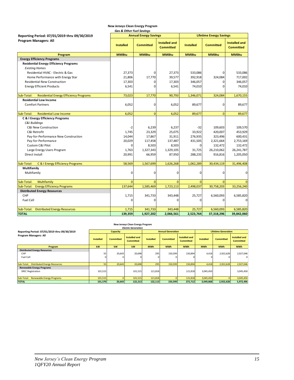|                                                             |                  | Gas & Other Fuel Savings     |                                          |                  |                                |                                   |  |  |  |
|-------------------------------------------------------------|------------------|------------------------------|------------------------------------------|------------------|--------------------------------|-----------------------------------|--|--|--|
| Reporting Period: 07/01/2019 thru 09/30/2019                |                  | <b>Annual Energy Savings</b> |                                          |                  | <b>Lifetime Energy Savings</b> |                                   |  |  |  |
| <b>Program Managers: All</b>                                | <b>Installed</b> | <b>Committed</b>             | <b>Installed and</b><br><b>Committed</b> | <b>Installed</b> | <b>Committed</b>               | Installed and<br><b>Committed</b> |  |  |  |
| Program                                                     | <b>MMBtu</b>     | <b>MMBtu</b>                 | <b>MMBtu</b>                             | <b>MMBtu</b>     | <b>MMBtu</b>                   | <b>MMBtu</b>                      |  |  |  |
| <b>Energy Efficiency Programs</b>                           |                  |                              |                                          |                  |                                |                                   |  |  |  |
| <b>Residential Energy Efficiency Programs</b>               |                  |                              |                                          |                  |                                |                                   |  |  |  |
| <b>Existing Homes</b>                                       |                  |                              |                                          |                  |                                |                                   |  |  |  |
| Residential HVAC - Electric & Gas                           | 27,373           | 0                            | 27,373                                   | 533,086          | $\Omega$                       | 533,086                           |  |  |  |
| Home Performance with Energy Star                           | 21,806           | 17,770                       | 39,577                                   | 392,918          | 324,084                        | 717,002                           |  |  |  |
| <b>Residential New Construction</b>                         | 17,303           | 0                            | 17,303                                   | 346,057          | 0                              | 346,057                           |  |  |  |
| <b>Energy Efficient Products</b>                            | 6,541            | 0                            | 6,541                                    | 74,010           | 0                              | 74,010                            |  |  |  |
| <b>Residential Energy Efficiency Programs</b><br>Sub-Total: | 73,023           | 17,770                       | 90,793                                   | 1,346,071        | 324,084                        | 1,670,155                         |  |  |  |
| <b>Residential Low Income</b>                               |                  |                              |                                          |                  |                                |                                   |  |  |  |
| <b>Comfort Partners</b>                                     | 6,052            | 0                            | 6,052                                    | 89,677           | $\Omega$                       | 89,677                            |  |  |  |
| Sub-Total:<br><b>Residential Low Income</b>                 | 6,052            | $\overline{0}$               | 6,052                                    | 89,677           | $\Omega$                       | 89,677                            |  |  |  |
| <b>C &amp; I Energy Efficiency Programs</b>                 |                  |                              |                                          |                  |                                |                                   |  |  |  |
| C&I Buildings                                               |                  |                              |                                          |                  |                                |                                   |  |  |  |
| <b>C&amp;I New Construction</b>                             | $-2$             | 6,239                        | 6,237                                    | $-32$            | 109,603                        | 109,570                           |  |  |  |
| C&I Retrofit                                                | 1,745            | 23,329                       | 25,075                                   | 33,922           | 420,007                        | 453,929                           |  |  |  |
| Pay-for-Performance New Construction                        | 14,044           | 17,867                       | 31,911                                   | 276,935          | 323,496                        | 600,431                           |  |  |  |
| Pay-for-Performance                                         | 20,029           | 117,458                      | 137,487                                  | 431,505          | 2,321,664                      | 2,753,169                         |  |  |  |
| Custom C&I Pilot                                            | 0                | 8,503                        | 8,503                                    | 0                | 132,472                        | 132,472                           |  |  |  |
| Large Energy Users Program                                  | 1,763            | 1,327,343                    | 1,329,105                                | 31,725           | 26,210,062                     | 26,241,787                        |  |  |  |
| Direct Install                                              | 20,991           | 66,959                       | 87,950                                   | 288,235          | 916,816                        | 1,205,050                         |  |  |  |
| Sub-Total:<br>C & I Energy Efficiency Programs              | 58,569           | 1,567,699                    | 1,626,268                                | 1,062,289        | 30,434,119                     | 31,496,408                        |  |  |  |
| Multifamily                                                 |                  |                              |                                          |                  |                                |                                   |  |  |  |
| Multifamily                                                 | $\mathbf 0$      | 0                            | 0                                        | 0                | 0                              | 0                                 |  |  |  |
| Multifamily<br>Sub-Total:                                   | $\Omega$         | $\Omega$                     | $\Omega$                                 | $\Omega$         | $\Omega$                       | $\mathbf{0}$                      |  |  |  |
| <b>Energy Efficiency Programs</b><br>Sub-Total:             | 137,644          | 1,585,469                    | 1,723,113                                | 2,498,037        | 30,758,203                     | 33,256,240                        |  |  |  |
| <b>Distributed Energy Resources</b>                         |                  |                              |                                          |                  |                                |                                   |  |  |  |
| CHP                                                         | 1,715            | 341,733                      | 343,448                                  | 25,727           | 6,560,093                      | 6,585,820                         |  |  |  |
| <b>Fuel Cell</b>                                            | 0                | 0                            | 0                                        | 0                | 0                              | $\mathbf 0$                       |  |  |  |
| Sub-Total:<br><b>Distributed Energy Resources</b>           | 1,715            | 341,733                      | 343,448                                  | 25,727           | 6,560,093                      | 6,585,820                         |  |  |  |
| <b>TOTAL</b>                                                | 139,359          | 1,927,202                    | 2,066,561                                | 2,523,764        | 37,318,296                     | 39,842,060                        |  |  |  |

#### *Gas & Other Fuel Savings* **New Jerseys Clean Energy Program**

#### **Reporting Period: 07/01/2019 thru 09/30/2019 Program Managers: All Program Electric Generation**<br> **Program Electric Generation**<br> **Program Electric Generation**<br> **Program Electric Generation**<br> **Committed Committed Committed Committed Committed Committed Committed Commi Distributed Energy Resources** CHP 55 20,643 20,698 295 150,599 150,894 4,418 2,922,628 2,927,046 Fuel Cell 0 0 0 0 0 0 0 0 0 Sub-Total: Distributed Energy Resources 55 20,643 20,698 295 150,599 150,894 4,418 2,922,628 2,927,046  **Renewable Energy Programs** SREC Registration 101,515 101,515 121,818 121,818 3,045,450 3,045,450 <mark>101,515 00 101,815 00 102,1818 0</mark> 12,945,450 0 101,515 121,818 0 121,818 3,045,450 0 3,045,450 0 3,045,450 0 3,045,450 0 3,045,450 0 3,045,450 0 3,045,450 0 3,045,450 0 3,923,628 5,972,496 1707AL **Installed Committed Installed and**  Installed **Committed** Installed and Installed **Committed** Installed and Installed Committed Committed Committed **Committed Installed Committed Committed Committed Committed New Jerseys Clean Energy Program Capacity Annual Generation Lifetime Generation** *Electric Generation*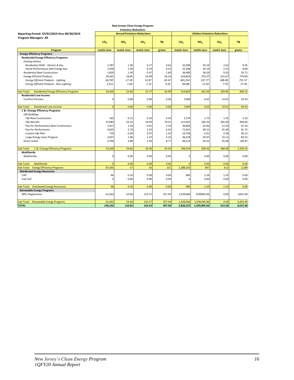|                                                             |                 |                                                                   | New Jerseys Clean Energy Program |        |                                      |                 |                 |          |  |
|-------------------------------------------------------------|-----------------|-------------------------------------------------------------------|----------------------------------|--------|--------------------------------------|-----------------|-----------------|----------|--|
| Reporting Period: 07/01/2019 thru 09/30/2019                |                 | <b>Emissions Reductions</b><br><b>Annual Emissions Reductions</b> |                                  |        | <b>Lifetime Emissions Reductions</b> |                 |                 |          |  |
| Program Managers: All                                       |                 |                                                                   |                                  |        |                                      |                 |                 |          |  |
|                                                             | CO <sub>2</sub> | NO <sub>x</sub>                                                   | SO <sub>2</sub>                  | Hg     | CO <sub>2</sub>                      | NO <sub>x</sub> | SO <sub>2</sub> | Hg       |  |
| Program                                                     | metric tons     | metric tons                                                       | metric tons                      | grams  | metric tons                          | metric tons     | metric tons     | grams    |  |
| <b>Energy Efficiency Programs</b>                           |                 |                                                                   |                                  |        |                                      |                 |                 |          |  |
| <b>Residential Energy Efficiency Programs</b>               |                 |                                                                   |                                  |        |                                      |                 |                 |          |  |
| <b>Existing Homes</b>                                       |                 |                                                                   |                                  |        |                                      |                 |                 |          |  |
| Residential HVAC - Electric & Gas                           | 1,787           | 1.36                                                              | 0.17                             | 0.62   | 33,398                               | 25.54           | 2.62            | 9.45     |  |
| Home Performance with Energy Star                           | 1,436           | 1.09                                                              | 0.14                             | 0.52   | 25,198                               | 19.19           | 2.23            | 8.06     |  |
| <b>Residential New Construction</b>                         | 1,820           | 1.30                                                              | 0.47                             | 1.69   | 36,400                               | 26.03           | 9.33            | 33.71    |  |
| <b>Energy Efficient Products</b>                            | 29,261          | 18.85                                                             | 14.99                            | 54.16  | 419,833                              | 270.27          | 215.67          | 779.00   |  |
| Energy Efficient Products - Lighting                        | 26,750          | 17.18                                                             | 13.87                            | 50.10  | 401,254                              | 257.77          | 208.08          | 751.57   |  |
| Energy Efficient Products - Non-Lighting                    | 2,511           | 1.66                                                              | 1.12                             | 4.05   | 18,580                               | 12.50           | 7.59            | 27.43    |  |
| <b>Residential Energy Efficiency Programs</b><br>Sub-Total: | 34,305          | 22.60                                                             | 15.77                            | 56.99  | 514,829                              | 341.03          | 229.85          | 830.22   |  |
| <b>Residential Low Income</b>                               |                 |                                                                   |                                  |        |                                      |                 |                 |          |  |
| <b>Comfort Partners</b>                                     | $\Omega$        | 0.00                                                              | 0.00                             | 0.00   | 7.049                                | 6.02            | 14.01           | 29.43    |  |
| Sub-Total:<br><b>Residential Low Income</b>                 | $\overline{0}$  | 0.00                                                              | 0.00                             | 0.00   | 7,049                                | 6.02            | 14.01           | 29.43    |  |
| <b>C &amp; I Energy Efficiency Programs</b>                 |                 |                                                                   |                                  |        |                                      |                 |                 |          |  |
| <b>C&amp;I Buildings</b>                                    |                 |                                                                   |                                  |        |                                      |                 |                 |          |  |
| <b>C&amp;I New Construction</b>                             | 183             | 0.12                                                              | 0.10                             | 0.34   | 2,724                                | 1.75            | 1.41            | 5.10     |  |
| C&I Retrofit                                                | 37,683          | 24.22                                                             | 19.49                            | 70.41  | 513,587                              | 330.20          | 265.40          | 958.60   |  |
| Pay-for-Performance New Construction                        | 1,917           | 1.34                                                              | 0.61                             | 2.19   | 36,904                               | 25.83           | 11.50           | 41.54    |  |
| Pay-for-Performance                                         | 4,025           | 2.74                                                              | 1.53                             | 5.54   | 71,931                               | 49.51           | 25.40           | 91.75    |  |
| Custom C&I Pilot                                            | 719             | 0.46                                                              | 0.37                             | 1.35   | 10,758                               | 6.91            | 5.58            | 20.15    |  |
| Large Energy Users Program                                  | 2,937           | 1.90                                                              | 1.47                             | 5.33   | 46,278                               | 29.97           | 23.12           | 83.52    |  |
| Direct Install                                              | 5,796           | 3.88                                                              | 2.43                             | 8.77   | 84,133                               | 56.25           | 35.68           | 128.87   |  |
| C & I Energy Efficiency Programs<br>Sub-Total:              | 53,260          | 34.66                                                             | 26.00                            | 93.93  | 766,314                              | 500.42          | 368.09          | 1,329.53 |  |
| Multifamily                                                 |                 |                                                                   |                                  |        |                                      |                 |                 |          |  |
| Multifamily                                                 | $\Omega$        | 0.00                                                              | 0.00                             | 0.00   | $\Omega$                             | 0.00            | 0.00            | 0.00     |  |
| Multifamily<br>Sub-Total:                                   | $\overline{0}$  | 0.00                                                              | 0.00                             | 0.00   | $\overline{0}$                       | 0.00            | 0.00            | 0.00     |  |
| <b>Energy Efficiency Programs</b><br>Sub-Total:             | 87,565          | 57                                                                | 42                               | 151    | 1,288,192                            | 847             | 612             | 2,189    |  |
| <b>Distributed Energy Resources</b>                         |                 |                                                                   |                                  |        |                                      |                 |                 |          |  |
| CHP                                                         | 66              | 0.16                                                              | 0.09                             | 0.00   | 985                                  | 2.34            | 1.33            | 0.00     |  |
| Fuel Cell                                                   | $\mathbf 0$     | 0.00                                                              | 0.00                             | 0.00   | $\mathbf 0$                          | 0.00            | 0.00            | 0.00     |  |
| Sub-Total: Distributed Energy Resources                     | 66              | 0.16                                                              | 0.09                             | 0.00   | 985                                  | 2.34            | 1.33            | 0.00     |  |
| <b>Renewable Energy Programs</b>                            |                 |                                                                   |                                  |        |                                      |                 |                 |          |  |
| <b>SREC Registration</b>                                    | 61,562          | 52.60                                                             | 122.37                           | 257.04 | 1,539,046                            | 1539045.84      | 0.00            | 6425.90  |  |
| <b>Renewable Energy Programs</b><br>Sub-Total:              | 61,562          | 52.60                                                             | 122.37                           | 257.04 | 1,539,046                            | 1,539,045.84    | 0.00            | 6.425.90 |  |
| <b>TOTAL</b>                                                | 149,192         | 110.02                                                            | 164.23                           | 407.96 | 2,828,223                            | 1,539,895.66    | 613.28          | 8,615.08 |  |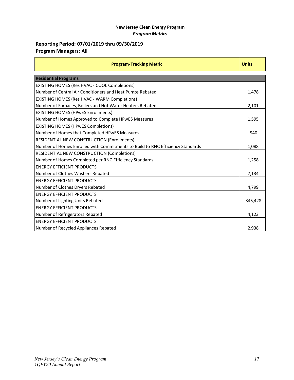### **New Jersey Clean Energy Program** *Program Metrics*

### **Reporting Period: 07/01/2019 thru 09/30/2019 Program Managers: All**

**Program-Tracking Metric Units** EXISTING HOMES (Res HVAC - COOL Completions) Number of Central Air Conditioners and Heat Pumps Rebated 1,478 EXISTING HOMES (Res HVAC - WARM Completions) Number of Furnaces, Boilers and Hot Water Heaters Rebated 2,101 EXISTING HOMES (HPwES Enrollments) Number of Homes Approved to Complete HPwES Measures 1,595 and 1,595 EXISTING HOMES (HPwES Completions) Number of Homes that Completed HPwES Measures 940 RESIDENTIAL NEW CONSTRUCTION (Enrollments) Number of Homes Enrolled with Commitments to Build to RNC Efficiency Standards 1,088 RESIDENTIAL NEW CONSTRUCTION (Completions) Number of Homes Completed per RNC Efficiency Standards 1,258 (1,258) ENERGY EFFICIENT PRODUCTS Number of Clothes Washers Rebated 7,134 ENERGY EFFICIENT PRODUCTS Number of Clothes Dryers Rebated 4,799 ENERGY EFFICIENT PRODUCTS Number of Lighting Units Rebated 345,428 ENERGY EFFICIENT PRODUCTS Number of Refrigerators Rebated 4,123 ENERGY EFFICIENT PRODUCTS Number of Recycled Appliances Rebated 2,938 **Residential Programs**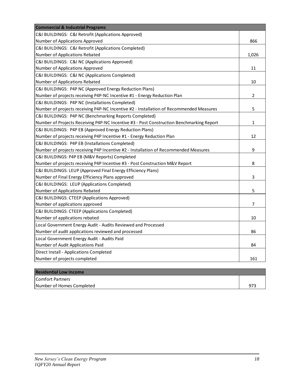| <b>Commercial &amp; Industrial Programs</b>                                              |                |
|------------------------------------------------------------------------------------------|----------------|
| C&I BUILDINGS: C&I Retrofit (Applications Approved)                                      |                |
| Number of Applications Approved                                                          | 866            |
| C&I BUILDINGS: C&I Retrofit (Applications Completed)                                     |                |
| Number of Applications Rebated                                                           | 1,026          |
| C&I BUILDINGS: C&I NC (Applications Approved)                                            |                |
| Number of Applications Approved                                                          | 11             |
| C&I BUILDINGS: C&I NC (Applications Completed)                                           |                |
| Number of Applications Rebated                                                           | 10             |
| C&I BUILDINGS: P4P NC (Approved Energy Reduction Plans)                                  |                |
| Number of projects receiving P4P-NC Incentive #1 - Energy Reduction Plan                 | $\overline{2}$ |
| C&I BUILDINGS: P4P NC (Installations Completed)                                          |                |
| Number of projects receiving P4P-NC Incentive #2 - Installation of Recommended Measures  | 5              |
| C&I BUILDINGS: P4P NC (Benchmarking Reports Completed)                                   |                |
| Number of Projects Receiving P4P-NC Incentive #3 - Post Construction Benchmarking Report | 1              |
| C&I BUILDINGS: P4P EB (Approved Energy Reduction Plans)                                  |                |
| Number of projects receiving P4P Incentive #1 - Energy Reduction Plan                    | 12             |
| C&I BUILDINGS: P4P EB (Installations Completed)                                          |                |
| Number of projects receiving P4P Incentive #2 - Installation of Recommended Measures     | 9              |
| C&I BUILDINGS: P4P EB (M&V Reports) Completed                                            |                |
| Number of projects receiving P4P Incentive #3 - Post Construction M&V Report             | 8              |
| C&I BUILDINGS: LEUP (Approved Final Energy Efficiency Plans)                             |                |
| Number of Final Energy Efficiency Plans approved                                         | 3              |
| C&I BUILDINGS: LEUP (Applications Completed)                                             |                |
| Number of Applications Rebated                                                           | 5              |
| C&I BUILDINGS: CTEEP (Applications Approved)                                             |                |
| Number of applications approved                                                          | 7              |
| C&I BUILDINGS: CTEEP (Applications Completed)                                            |                |
| Number of applications rebated                                                           | 10             |
| Local Government Energy Audit - Audits Reviewed and Processed                            |                |
| Number of audit applications reviewed and processed                                      | 86             |
| Local Government Energy Audit - Audits Paid                                              |                |
| Number of Audit Applications Paid                                                        | 84             |
| Direct Install - Applications Completed                                                  |                |
| Number of projects completed                                                             | 161            |
|                                                                                          |                |

| <b>Residential Low Income</b> |     |
|-------------------------------|-----|
| Comfort Partners              |     |
| Number of Homes Completed     | 973 |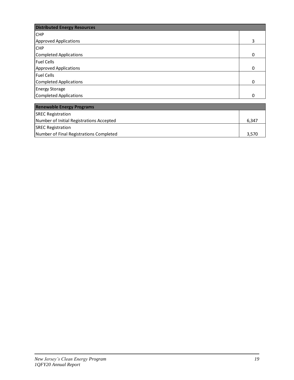| <b>Distributed Energy Resources</b> |              |  |
|-------------------------------------|--------------|--|
| <b>CHP</b>                          |              |  |
| Approved Applications               | 3            |  |
| <b>CHP</b>                          |              |  |
| Completed Applications              | n            |  |
| <b>Fuel Cells</b>                   |              |  |
| <b>Approved Applications</b>        | <sup>0</sup> |  |
| <b>Fuel Cells</b>                   |              |  |
| Completed Applications              | O            |  |
| <b>Energy Storage</b>               |              |  |
| Completed Applications              |              |  |

| <b>Renewable Energy Programs</b>         |       |  |
|------------------------------------------|-------|--|
| <b>SREC Registration</b>                 |       |  |
| Number of Initial Registrations Accepted | 6.347 |  |
| <b>SREC Registration</b>                 |       |  |
| Number of Final Registrations Completed  | 3.570 |  |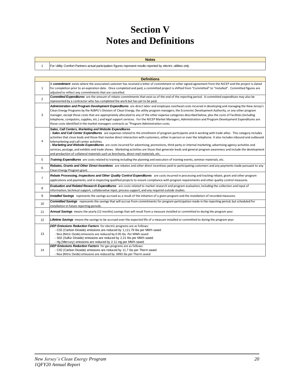# **Section V Notes and Definitions**

| <b>Notes</b>                                                                                                     |  |
|------------------------------------------------------------------------------------------------------------------|--|
| For Utility Comfort Partners actual participation figures represent results reported by electric utilities only. |  |

1

|                                                                                                                                                                                                                                      | <b>Definitions</b>                                                                                                                                                                                                                                                                                                                                                                                                                                                                                                                                                                                                                                                                                                                                                                                                                                                 |  |  |  |  |  |
|--------------------------------------------------------------------------------------------------------------------------------------------------------------------------------------------------------------------------------------|--------------------------------------------------------------------------------------------------------------------------------------------------------------------------------------------------------------------------------------------------------------------------------------------------------------------------------------------------------------------------------------------------------------------------------------------------------------------------------------------------------------------------------------------------------------------------------------------------------------------------------------------------------------------------------------------------------------------------------------------------------------------------------------------------------------------------------------------------------------------|--|--|--|--|--|
| $\mathbf{1}$                                                                                                                                                                                                                         | A commitment exists where the associated customer has received a letter of commitment or other signed agreement from the NJCEP and the project is slated<br>for completion prior to an expiration date. Once completed and paid, a committed project is shifted from "Committed" to "Installed". Committed figures are<br>adjusted to reflect any commitments that are cancelled.                                                                                                                                                                                                                                                                                                                                                                                                                                                                                  |  |  |  |  |  |
| $\overline{2}$                                                                                                                                                                                                                       | <b>Committed Expenditures</b> are the amount of rebate commitments that exist as of the end of the reporting period. A committed expenditure may also be<br>represented by a contractor who has completed the work but has yet to be paid.                                                                                                                                                                                                                                                                                                                                                                                                                                                                                                                                                                                                                         |  |  |  |  |  |
| 3                                                                                                                                                                                                                                    | Administration and Program Development Expenditures are direct labor and employee overhead costs incurred in developing and managing the New Jersey's<br>Clean Energy Programs by the NJBPU's Division of Clean Energy, the utility program managers, the Economic Development Authority, or any other program<br>manager, except those costs that are appropriately allocated to any of the other expense categories described below, plus the costs of facilities (including<br>telephone, computers, supplies, etc.) and legal support services. For the NJCEP Market Managers, Administration and Program Development Expenditures are<br>those costs identified in the market managers contracts as "Program Administration costs.                                                                                                                            |  |  |  |  |  |
| 4                                                                                                                                                                                                                                    | Sales, Call Centers, Marketing and Website Expenditures<br>- Sales and Call Center Expenditures are expenses related to the enrollment of program participants and in working with trade allies. This category includes<br>activities that close leads and those that involve direct interaction with customers, either in person or over the telephone. It also includes inbound and outbound<br>telemarketing and call center activities.<br>- Marketing and Website Expenditures are costs incurred for advertising, promotions, third-party or internal marketing, advertising agency activities and<br>services, postage, and exhibits and trade shows. Marketing activities are those that generate leads and general program awareness and include the development<br>and production of collateral materials such as brochures, direct mail materials, etc. |  |  |  |  |  |
| 5                                                                                                                                                                                                                                    | Training Expenditures are costs related to training including the planning and execution of training events, seminar materials, etc.                                                                                                                                                                                                                                                                                                                                                                                                                                                                                                                                                                                                                                                                                                                               |  |  |  |  |  |
| 6                                                                                                                                                                                                                                    | Rebates, Grants and Other Direct Incentives are rebates and other direct incentives paid to participating customers and any payments made pursuant to any<br>Clean Energy Program grant.                                                                                                                                                                                                                                                                                                                                                                                                                                                                                                                                                                                                                                                                           |  |  |  |  |  |
| $\overline{7}$                                                                                                                                                                                                                       | Rebate Processing, Inspections and Other Quality Control Expenditures are costs incurred in processing and tracking rebate, grant and other program<br>applications and payments, and in inspecting qualified projects to ensure compliance with program requirements and other quality control measures.                                                                                                                                                                                                                                                                                                                                                                                                                                                                                                                                                          |  |  |  |  |  |
| 8                                                                                                                                                                                                                                    | Evaluation and Related Research Expenditures are costs related to market research and program evaluation, including the collection and input of<br>information, technical support, collaborative input, process support, and any required outside studies.                                                                                                                                                                                                                                                                                                                                                                                                                                                                                                                                                                                                         |  |  |  |  |  |
| 9                                                                                                                                                                                                                                    | Installed Savings represents the savings accrued as a result of the initiation of a given program and the installation of recorded measures.                                                                                                                                                                                                                                                                                                                                                                                                                                                                                                                                                                                                                                                                                                                       |  |  |  |  |  |
| 10                                                                                                                                                                                                                                   | Committed Savings represents the savings that will accrue from commitments for program participation made in the reporting period, but scheduled for<br>installation in future reporting periods.                                                                                                                                                                                                                                                                                                                                                                                                                                                                                                                                                                                                                                                                  |  |  |  |  |  |
| 11                                                                                                                                                                                                                                   | Annual Savings means the yearly (12 months) savings that will result from a measure installed or committed to during the program year.                                                                                                                                                                                                                                                                                                                                                                                                                                                                                                                                                                                                                                                                                                                             |  |  |  |  |  |
| 12 <sup>2</sup>                                                                                                                                                                                                                      | Lifetime Savings means the savings to be accrued over the expected life of a measure installed or committed to during the program year.                                                                                                                                                                                                                                                                                                                                                                                                                                                                                                                                                                                                                                                                                                                            |  |  |  |  |  |
| 13                                                                                                                                                                                                                                   | <b>DEP Emissions Reduction Factors</b> for electric programs are as follows:<br>- C02 (Carbon Dioxide) emissions are reduced by 1,111.79 lbs per MWh saved<br>- Nox (Nitric Oxide) emissions are reduced by 0.95 lbs. Per MWh saved<br>- S02 (Sulfur Dioxide) emissions are reduced by 2.21 lbs per MWh saved<br>- Hg (Mercury) emissions are reduced by 2.11 mg per MWh saved                                                                                                                                                                                                                                                                                                                                                                                                                                                                                     |  |  |  |  |  |
| <b>DEP Emissions Reduction Factors</b> for gas programs are as follows:<br>14<br>- C02 (Carbon Dioxide) emissions are reduced by 11.7 lbs per Therm saved<br>- Nox (Nitric Oxide) emissions are reduced by .0092 Ibs per Therm saved |                                                                                                                                                                                                                                                                                                                                                                                                                                                                                                                                                                                                                                                                                                                                                                                                                                                                    |  |  |  |  |  |